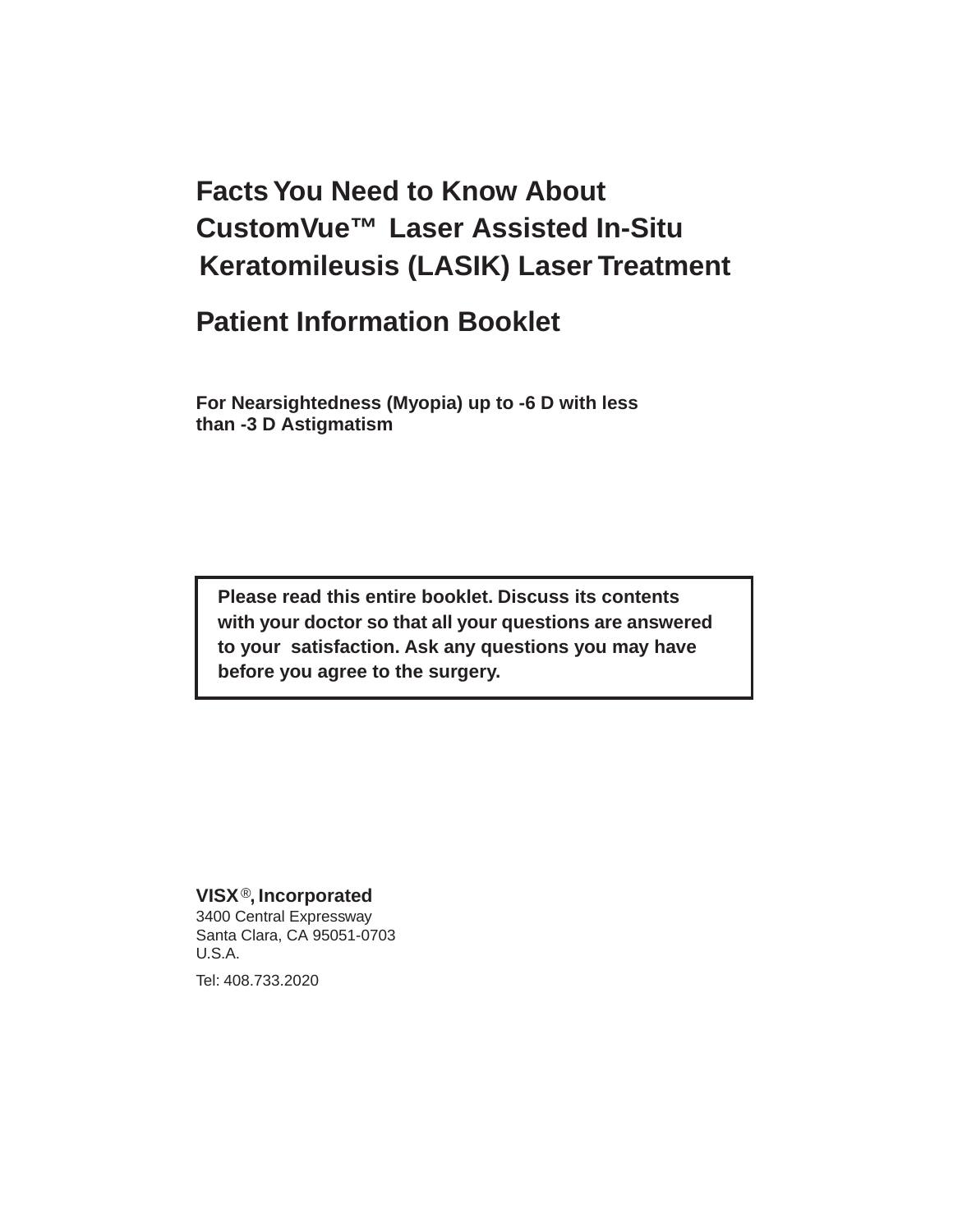# **Facts You Need to Know About CustomVue™ Laser Assisted In-Situ Keratomileusis (LASIK) Laser Treatment**

# **Patient Information Booklet**

**For Nearsightedness (Myopia) up to -6 D with less than -3 D Astigmatism**

**Please read this entire booklet. Discuss its contents with your doctor so that all your questions are answered to your satisfaction. Ask any questions you may have before you agree to the surgery.**

#### **VISX** ®**, Incorporated**

3400 Central Expressway Santa Clara, CA 95051-0703 U.S.A.

Tel: 408.733.2020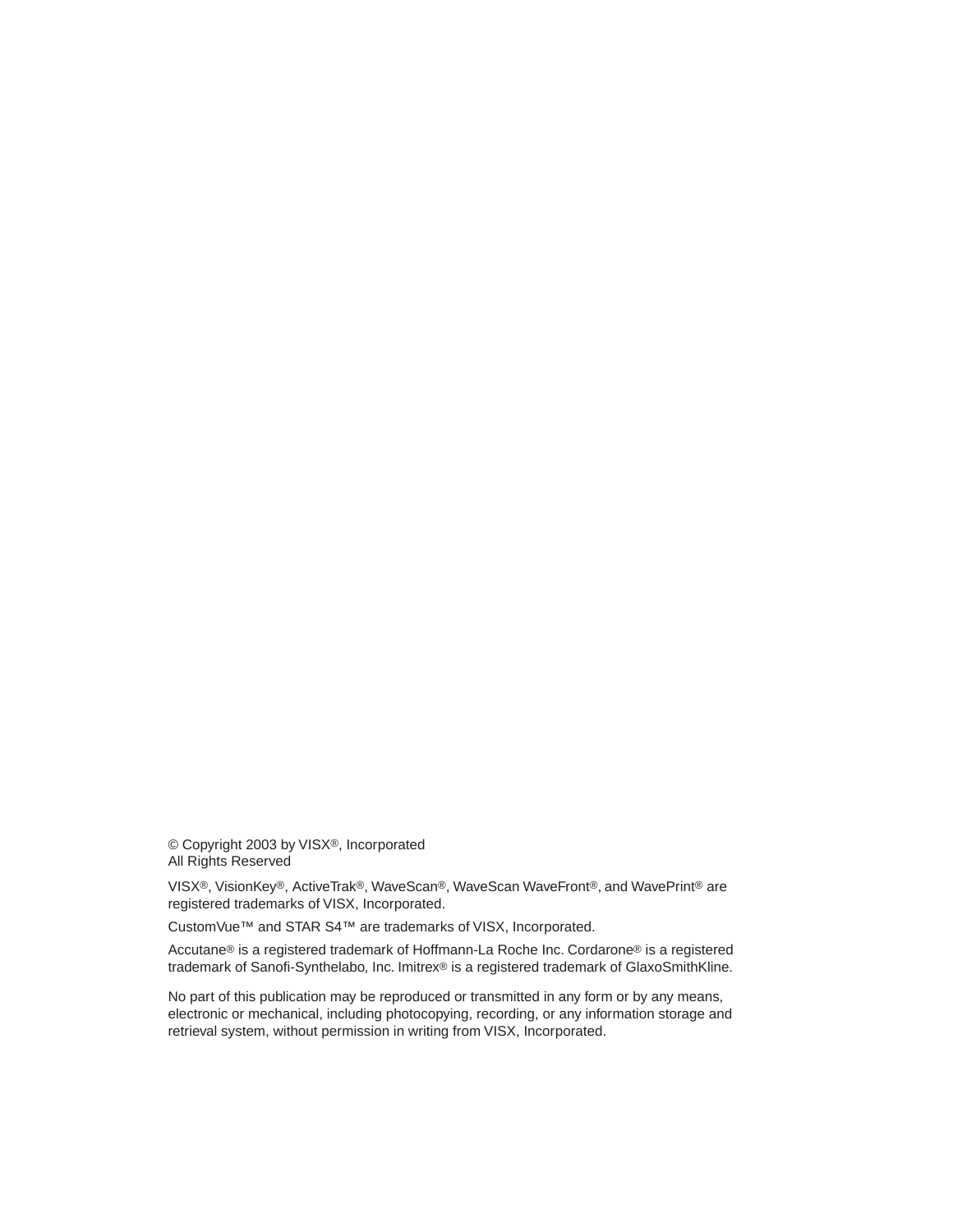© Copyright 2003 by VISX®, Incorporated All Rights Reserved

VISX®, VisionKey®, ActiveTrak®, WaveScan®, WaveScan WaveFront®, and WavePrint® are registered trademarks of VISX, Incorporated.

CustomVue™ and STAR S4™ are trademarks of VISX, Incorporated.

Accutane® is a registered trademark of Hoffmann-La Roche Inc. Cordarone® is a registered trademark of Sanofi-Synthelabo, Inc. Imitrex® is a registered trademark of GlaxoSmithKline.

No part of this publication may be reproduced or transmitted in any form or by any means, electronic or mechanical, including photocopying, recording, or any information storage and retrieval system, without permission in writing from VISX, Incorporated.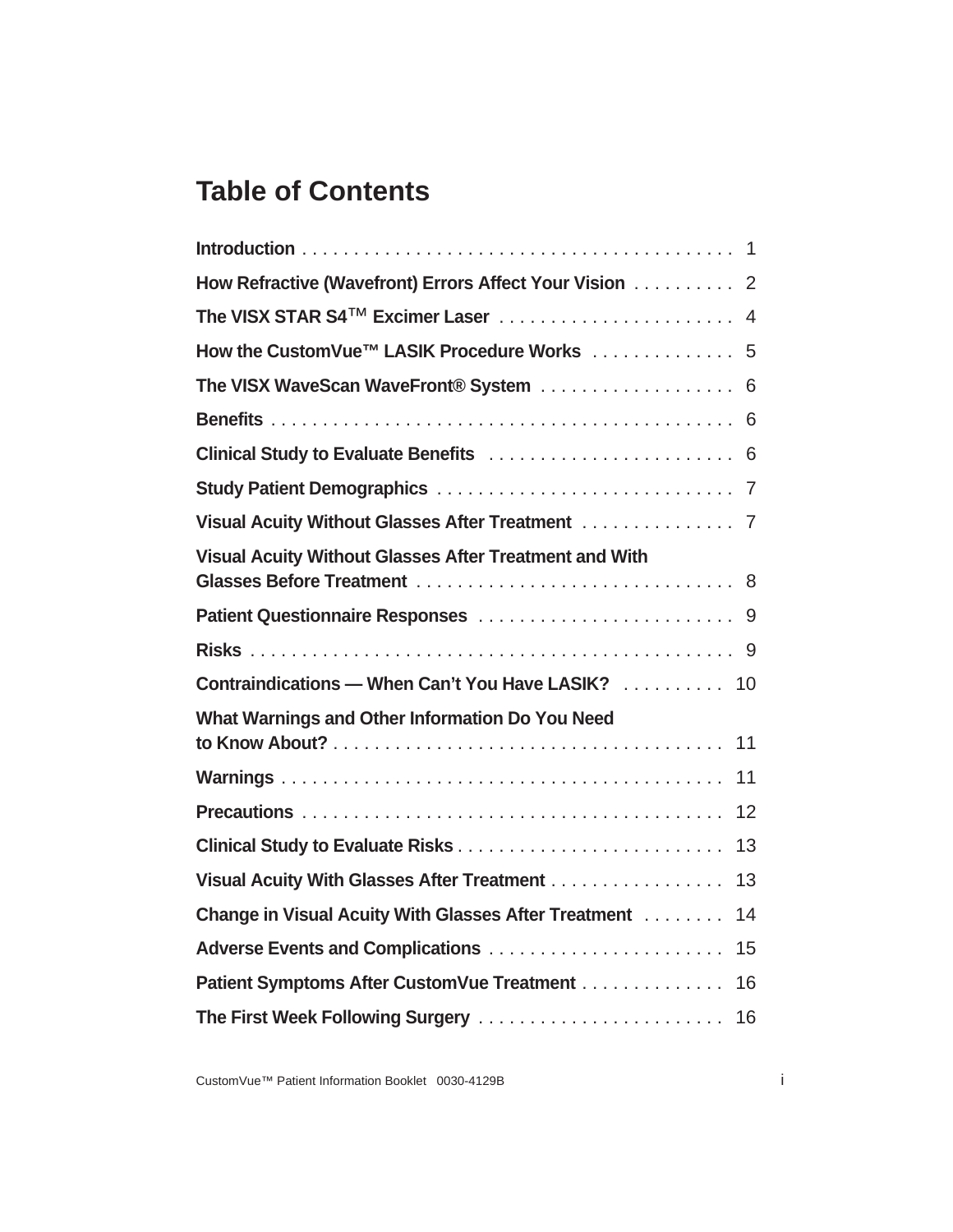# **Table of Contents**

| How Refractive (Wavefront) Errors Affect Your Vision 2        |
|---------------------------------------------------------------|
|                                                               |
| How the CustomVue™ LASIK Procedure Works 5                    |
| The VISX WaveScan WaveFront® System  6                        |
|                                                               |
|                                                               |
|                                                               |
| Visual Acuity Without Glasses After Treatment 7               |
| <b>Visual Acuity Without Glasses After Treatment and With</b> |
|                                                               |
|                                                               |
| Contraindications - When Can't You Have LASIK?  10            |
| What Warnings and Other Information Do You Need<br>11         |
| 11                                                            |
| 12                                                            |
| 13                                                            |
| Visual Acuity With Glasses After Treatment<br>13              |
| Change in Visual Acuity With Glasses After Treatment<br>14    |
| 15                                                            |
| Patient Symptoms After CustomVue Treatment<br>16              |
| The First Week Following Surgery<br>16                        |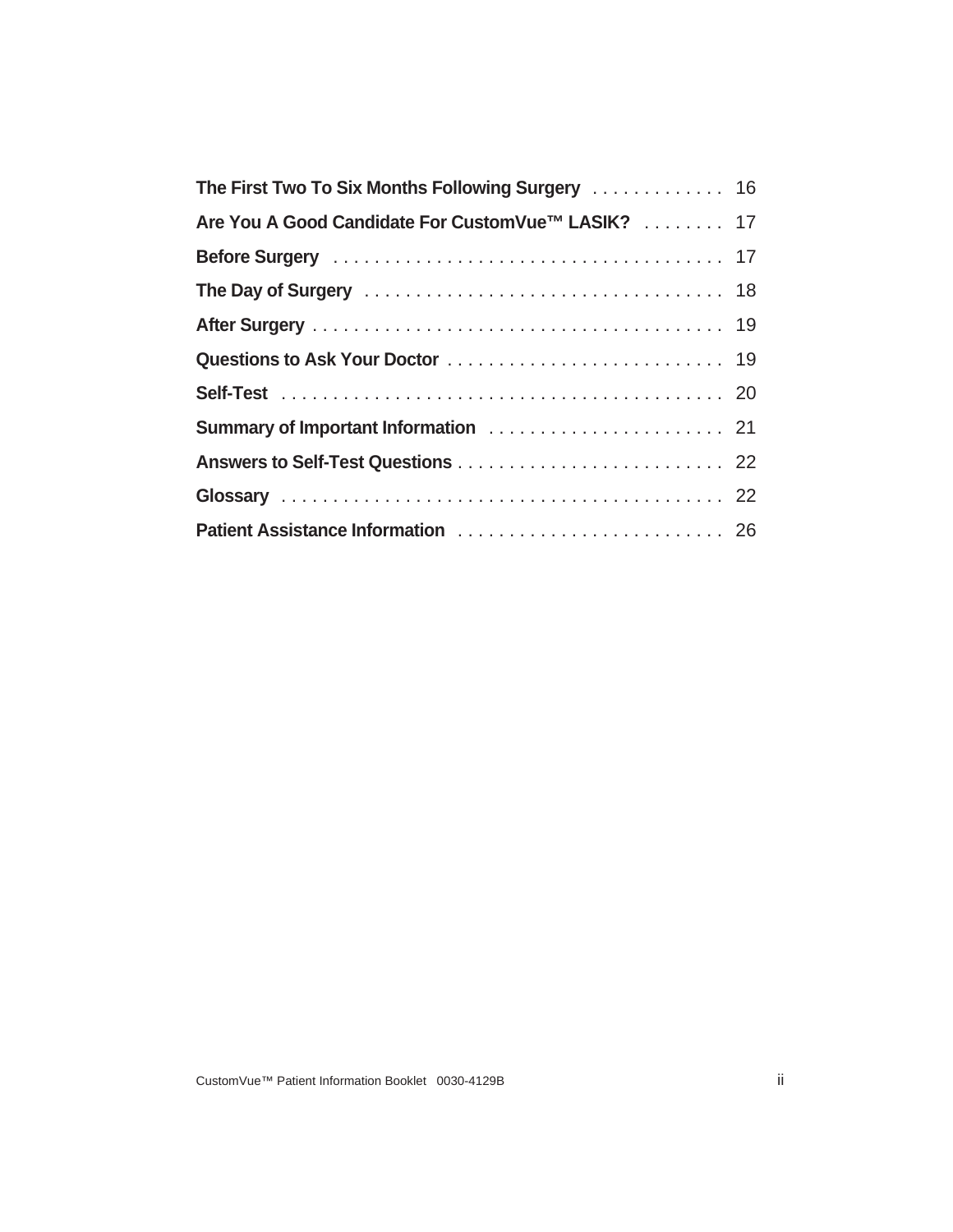| The First Two To Six Months Following Surgery  16 |  |
|---------------------------------------------------|--|
| Are You A Good Candidate For CustomVue™ LASIK? 17 |  |
|                                                   |  |
|                                                   |  |
|                                                   |  |
|                                                   |  |
|                                                   |  |
|                                                   |  |
|                                                   |  |
|                                                   |  |
| Patient Assistance Information  26                |  |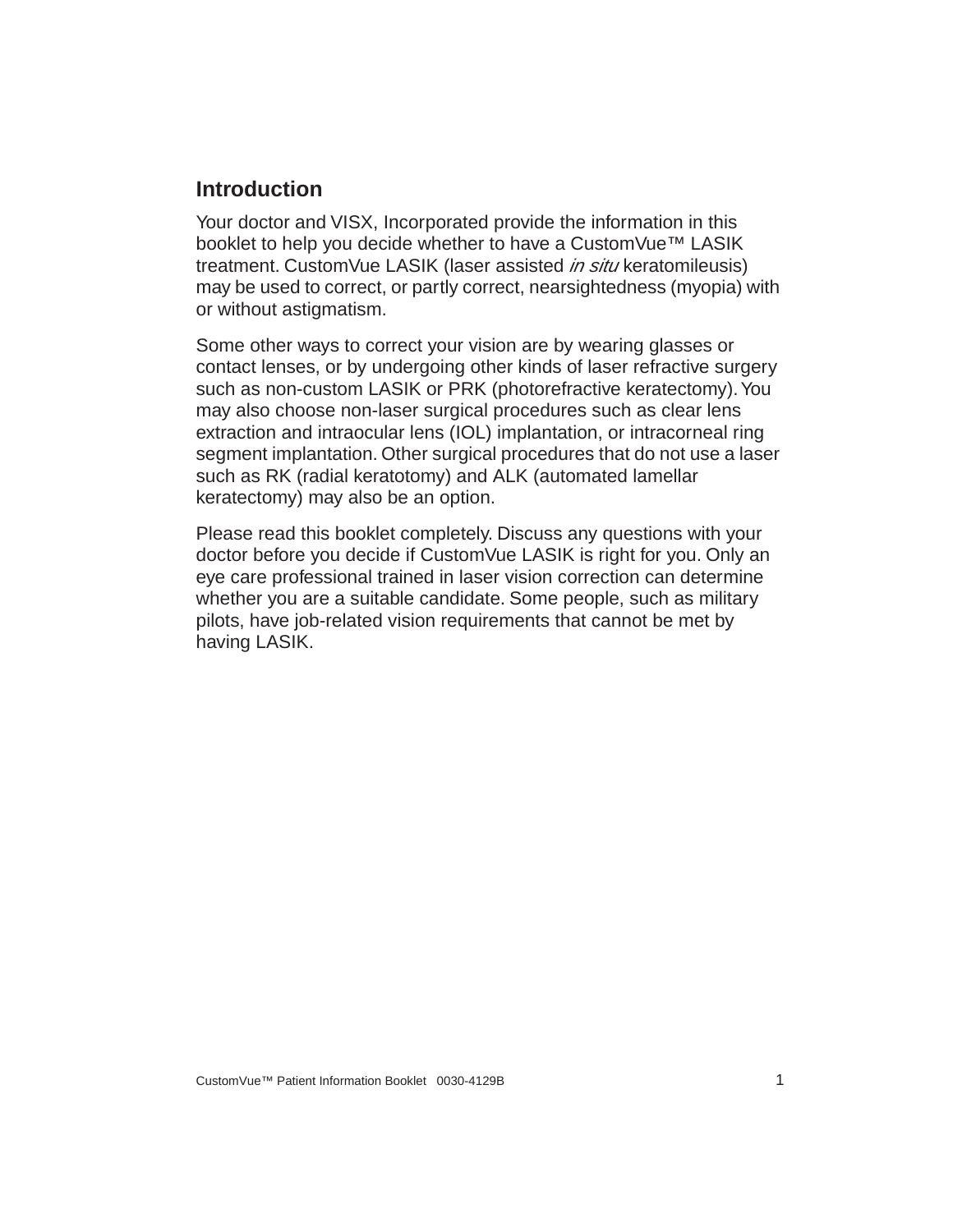#### <span id="page-6-0"></span>**Introduction**

Your doctor and VISX, Incorporated provide the information in this booklet to help you decide whether to have a CustomVue™ LASIK treatment. CustomVue LASIK (laser assisted *in situ* keratomileusis) may be used to correct, or partly correct, nearsightedness (myopia) with or without astigmatism.

Some other ways to correct your vision are by wearing glasses or contact lenses, or by undergoing other kinds of laser refractive surgery such as non-custom LASIK or PRK (photorefractive keratectomy). You may also choose non-laser surgical procedures such as clear lens extraction and intraocular lens (IOL) implantation, or intracorneal ring segment implantation. Other surgical procedures that do not use a laser such as RK (radial keratotomy) and ALK (automated lamellar keratectomy) may also be an option.

Please read this booklet completely. Discuss any questions with your doctor before you decide if CustomVue LASIK is right for you. Only an eye care professional trained in laser vision correction can determine whether you are a suitable candidate. Some people, such as military pilots, have job-related vision requirements that cannot be met by having LASIK.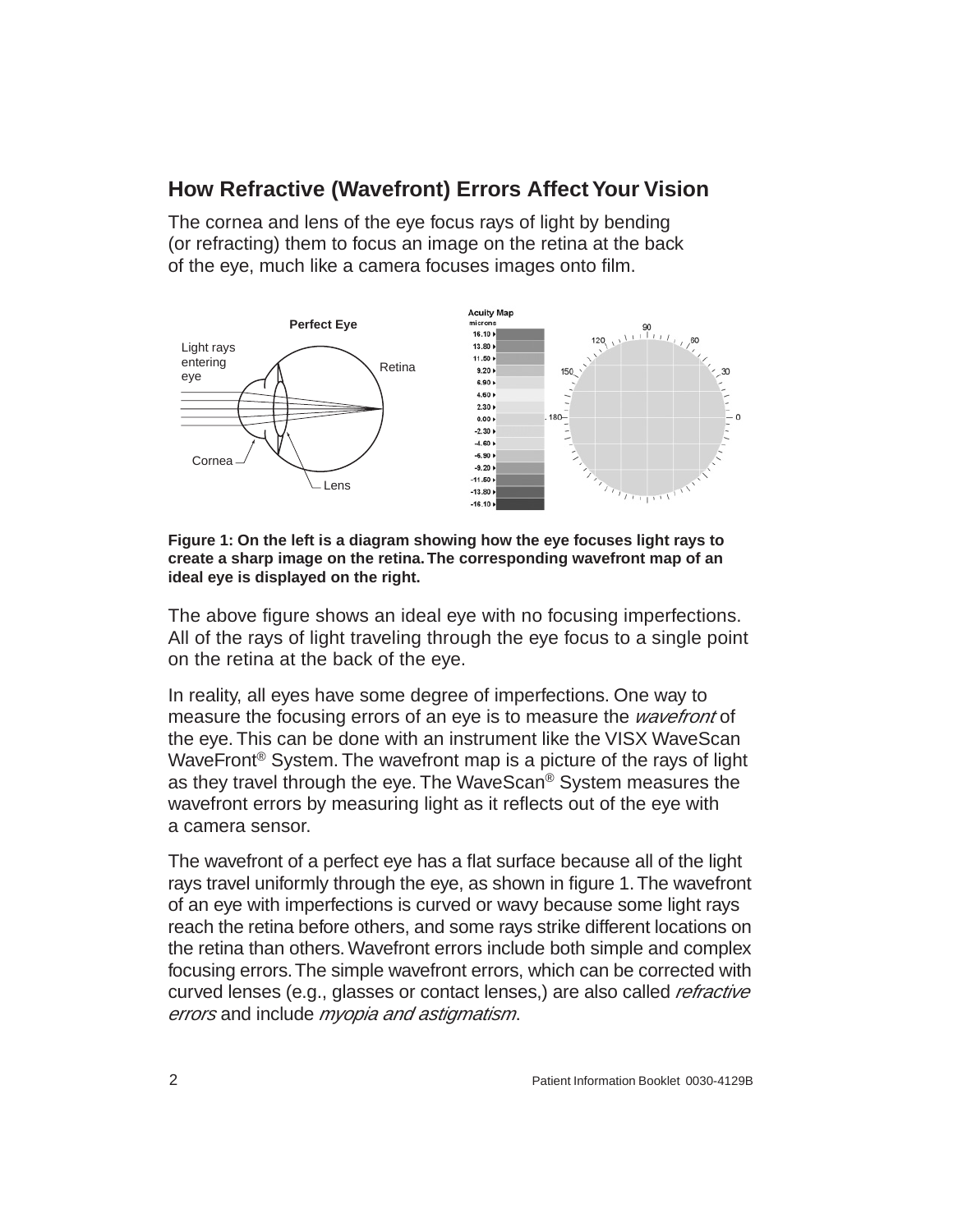## <span id="page-7-0"></span>**How Refractive (Wavefront) Errors Affect Your Vision**

The cornea and lens of the eye focus rays of light by bending (or refracting) them to focus an image on the retina at the back of the eye, much like a camera focuses images onto film.



**Figure 1: On the left is a diagram showing how the eye focuses light rays to create a sharp image on the retina. The corresponding wavefront map of an ideal eye is displayed on the right.**

The above figure shows an ideal eye with no focusing imperfections. All of the rays of light traveling through the eye focus to a single point on the retina at the back of the eye.

In reality, all eyes have some degree of imperfections. One way to measure the focusing errors of an eye is to measure the *wavefront* of the eye. This can be done with an instrument like the VISX WaveScan WaveFront® System. The wavefront map is a picture of the rays of light as they travel through the eye. The WaveScan® System measures the wavefront errors by measuring light as it reflects out of the eye with a camera sensor.

The wavefront of a perfect eye has a flat surface because all of the light rays travel uniformly through the eye, as shown in figure 1. The wavefront of an eye with imperfections is curved or wavy because some light rays reach the retina before others, and some rays strike different locations on the retina than others. Wavefront errors include both simple and complex focusing errors. The simple wavefront errors, which can be corrected with curved lenses (e.g., glasses or contact lenses,) are also called *refractive* errors and include *myopia and astigmatism*.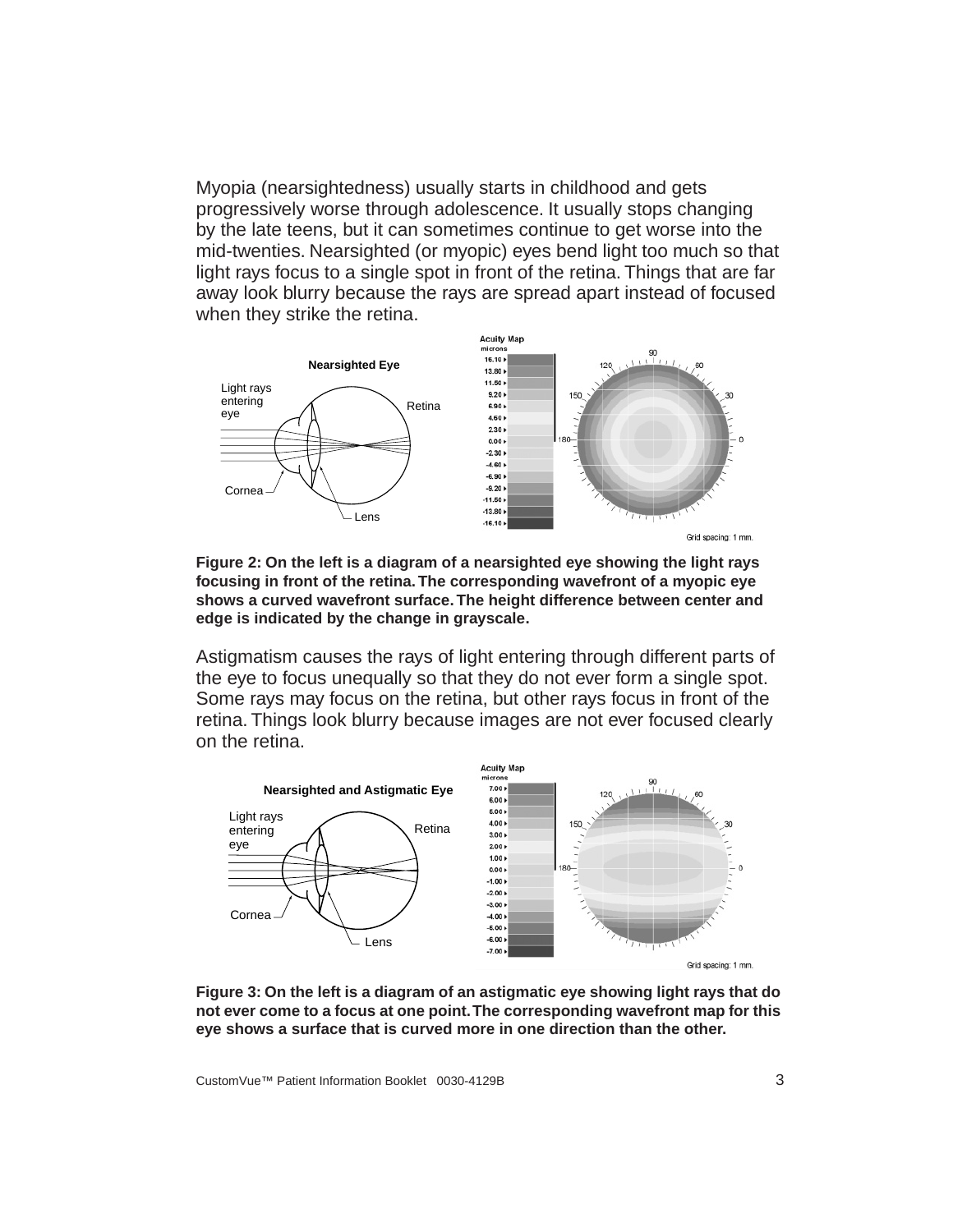Myopia (nearsightedness) usually starts in childhood and gets progressively worse through adolescence. It usually stops changing by the late teens, but it can sometimes continue to get worse into the mid-twenties. Nearsighted (or myopic) eyes bend light too much so that light rays focus to a single spot in front of the retina. Things that are far away look blurry because the rays are spread apart instead of focused when they strike the retina.



**Figure 2: On the left is a diagram of a nearsighted eye showing the light rays focusing in front of the retina. The corresponding wavefront of a myopic eye shows a curved wavefront surface. The height difference between center and edge is indicated by the change in grayscale.**

Astigmatism causes the rays of light entering through different parts of the eye to focus unequally so that they do not ever form a single spot. Some rays may focus on the retina, but other rays focus in front of the retina. Things look blurry because images are not ever focused clearly on the retina.



Grid spacing: 1 mm.

**Figure 3: On the left is a diagram of an astigmatic eye showing light rays that do not ever come to a focus at one point. The corresponding wavefront map for this eye shows a surface that is curved more in one direction than the other.**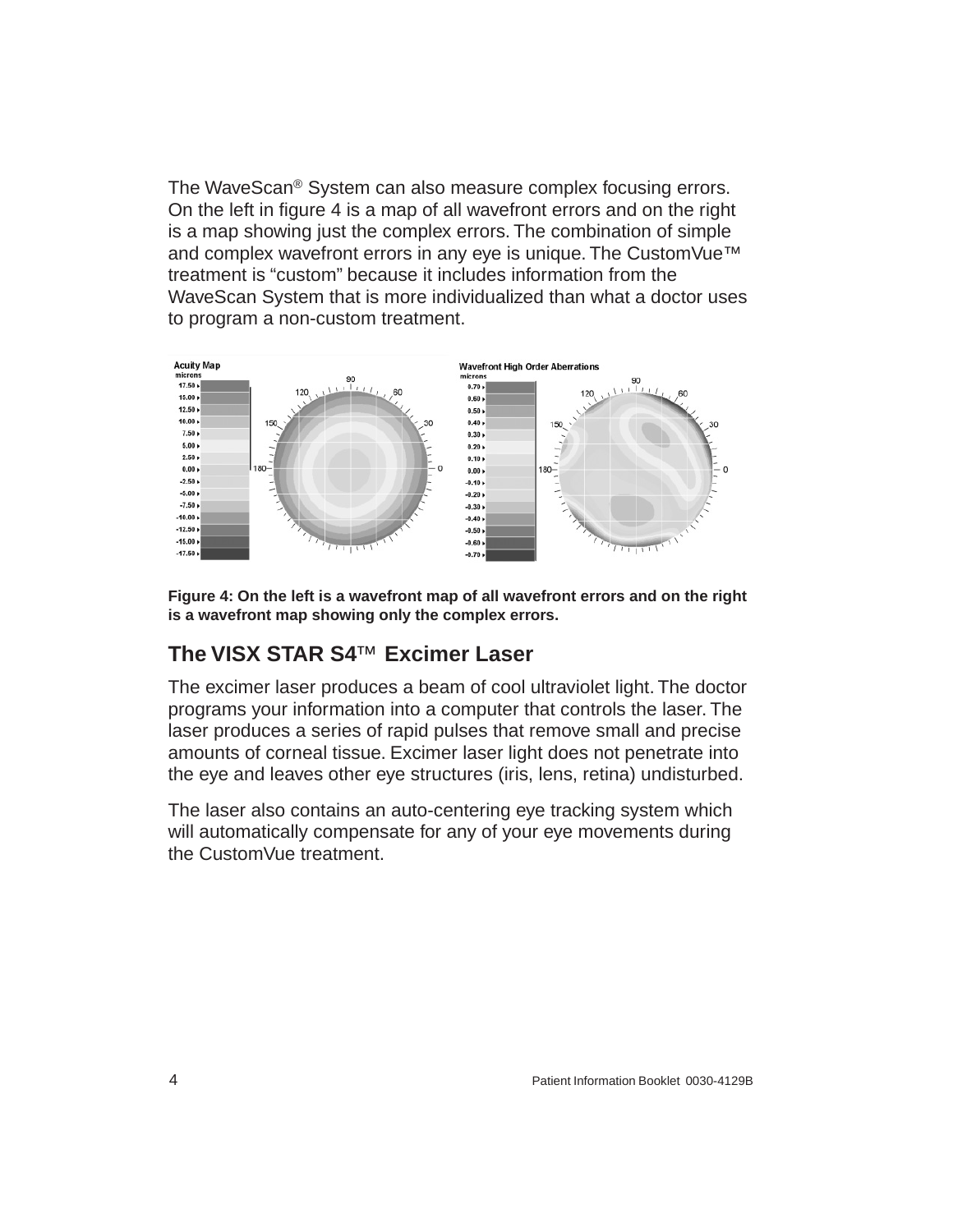The WaveScan® System can also measure complex focusing errors. On the left in figure 4 is a map of all wavefront errors and on the right is a map showing just the complex errors. The combination of simple and complex wavefront errors in any eye is unique. The CustomVue™ treatment is "custom" because it includes information from the WaveScan System that is more individualized than what a doctor uses to program a non-custom treatment.



**Figure 4: On the left is a wavefront map of all wavefront errors and on the right is a wavefront map showing only the complex errors.**

## <span id="page-9-0"></span>**The VISX STAR S4**™ **Excimer Laser**

The excimer laser produces a beam of cool ultraviolet light. The doctor programs your information into a computer that controls the laser. The laser produces a series of rapid pulses that remove small and precise amounts of corneal tissue. Excimer laser light does not penetrate into the eye and leaves other eye structures (iris, lens, retina) undisturbed.

The laser also contains an auto-centering eye tracking system which will automatically compensate for any of your eye movements during the CustomVue treatment.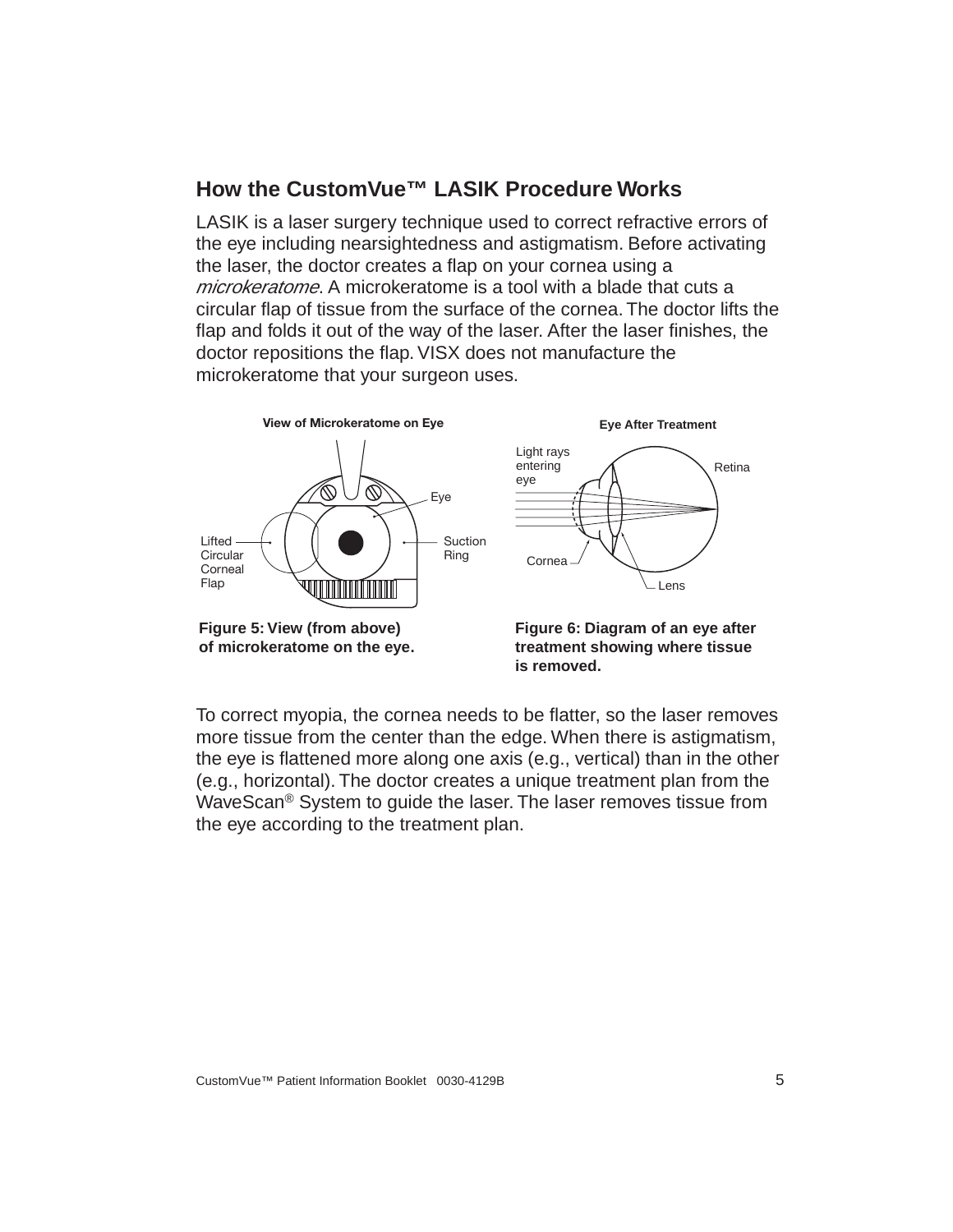## <span id="page-10-0"></span>**How the CustomVue™ LASIK Procedure Works**

LASIK is a laser surgery technique used to correct refractive errors of the eye including nearsightedness and astigmatism. Before activating the laser, the doctor creates a flap on your cornea using a microkeratome. A microkeratome is a tool with a blade that cuts a circular flap of tissue from the surface of the cornea. The doctor lifts the flap and folds it out of the way of the laser. After the laser finishes, the doctor repositions the flap. VISX does not manufacture the microkeratome that your surgeon uses.



**treatment showing where tissue is removed.**

To correct myopia, the cornea needs to be flatter, so the laser removes more tissue from the center than the edge. When there is astigmatism, the eye is flattened more along one axis (e.g., vertical) than in the other (e.g., horizontal). The doctor creates a unique treatment plan from the WaveScan® System to guide the laser. The laser removes tissue from the eye according to the treatment plan.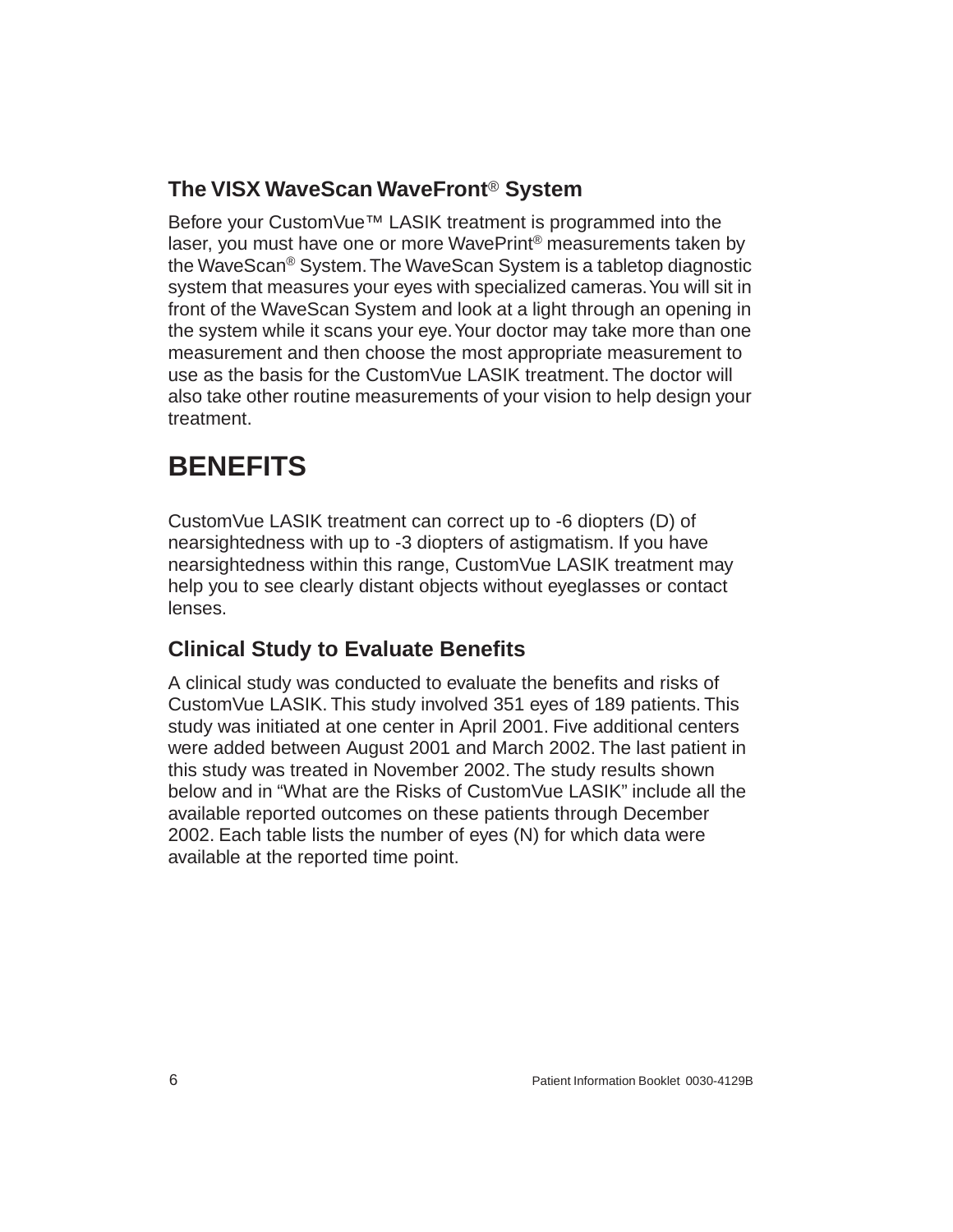# <span id="page-11-0"></span>**The VISX WaveScan WaveFront**® **System**

Before your CustomVue™ LASIK treatment is programmed into the laser, you must have one or more WavePrint® measurements taken by the WaveScan® System. The WaveScan System is a tabletop diagnostic system that measures your eyes with specialized cameras. You will sit in front of the WaveScan System and look at a light through an opening in the system while it scans your eye. Your doctor may take more than one measurement and then choose the most appropriate measurement to use as the basis for the CustomVue LASIK treatment. The doctor will also take other routine measurements of your vision to help design your treatment.

# <span id="page-11-1"></span>**BENEFITS**

CustomVue LASIK treatment can correct up to -6 diopters (D) of nearsightedness with up to -3 diopters of astigmatism. If you have nearsightedness within this range, CustomVue LASIK treatment may help you to see clearly distant objects without eyeglasses or contact lenses.

## <span id="page-11-2"></span>**Clinical Study to Evaluate Benefits**

A clinical study was conducted to evaluate the benefits and risks of CustomVue LASIK. This study involved 351 eyes of 189 patients. This study was initiated at one center in April 2001. Five additional centers were added between August 2001 and March 2002. The last patient in this study was treated in November 2002. The study results shown below and in "What are the Risks of CustomVue LASIK" include all the available reported outcomes on these patients through December 2002. Each table lists the number of eyes (N) for which data were available at the reported time point.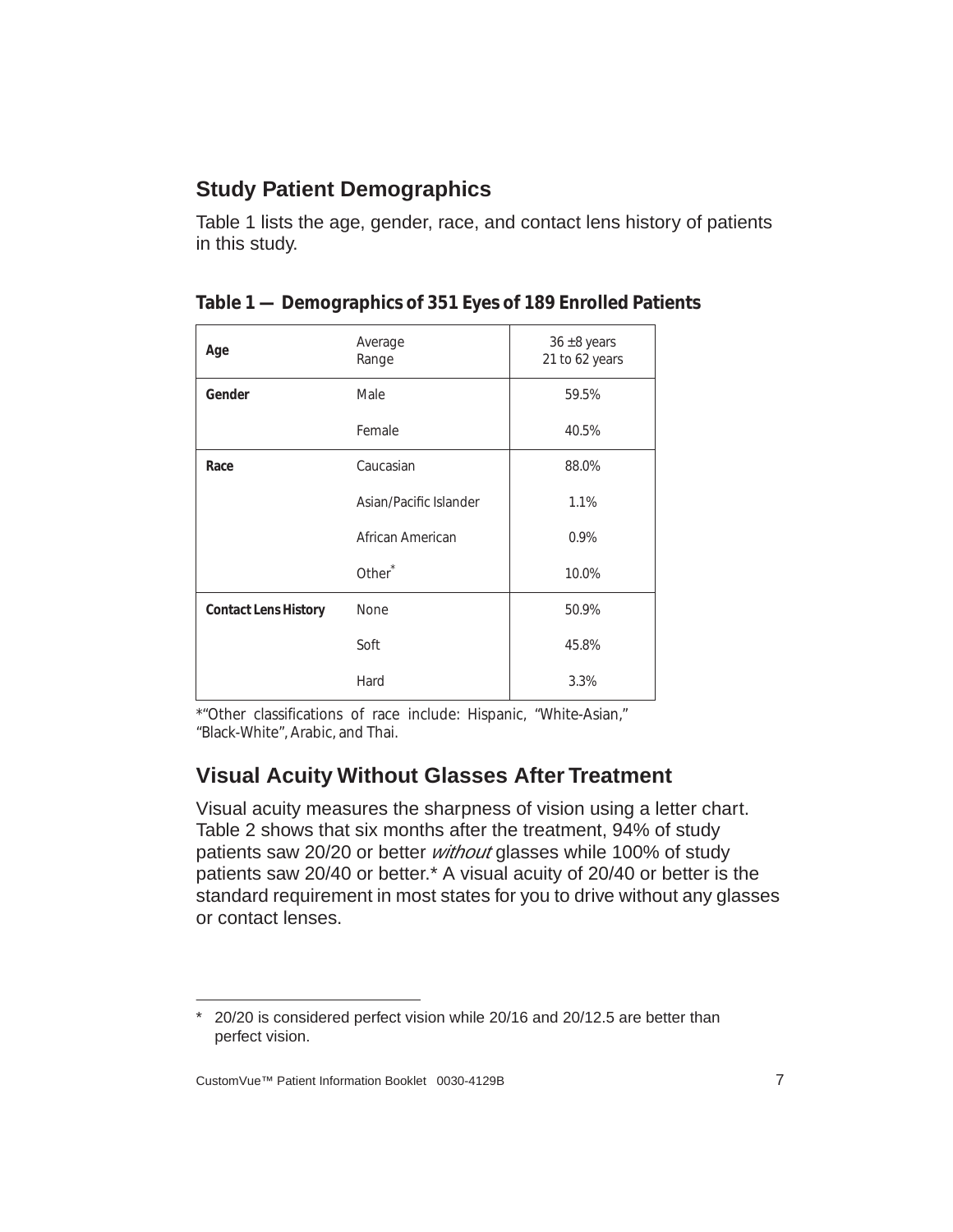## <span id="page-12-0"></span>**Study Patient Demographics**

Table [1](#page-12-2) lists the age, gender, race, and contact lens history of patients in this study.

| Age                         | Average<br>Range       | $36 \pm 8$ years<br>21 to 62 years |
|-----------------------------|------------------------|------------------------------------|
| Gender                      | Male                   | 59.5%                              |
|                             | Female                 | 40.5%                              |
| Race                        | Caucasian              | 88.0%                              |
|                             | Asian/Pacific Islander | 1.1%                               |
|                             | African American       | 0.9%                               |
|                             | Other <sup>*</sup>     | 10.0%                              |
| <b>Contact Lens History</b> | None                   | 50.9%                              |
|                             | Soft                   | 45.8%                              |
|                             | Hard                   | 3.3%                               |

<span id="page-12-2"></span>

| Table 1 — Demographics of 351 Eyes of 189 Enrolled Patients |  |  |
|-------------------------------------------------------------|--|--|
|                                                             |  |  |

\*"Other classifications of race include: Hispanic, "White-Asian," "Black-White", Arabic, and Thai.

## <span id="page-12-1"></span>**Visual Acuity Without Glasses After Treatment**

Visual acuity measures the sharpness of vision using a letter chart. Table [2](#page-13-1) shows that six months after the treatment, 94% of study patients saw 20/20 or better *without* glasses while 100% of study patients saw 20/40 or better.\* A visual acuity of 20/40 or better is the standard requirement in most states for you to drive without any glasses or contact lenses.

<sup>\*</sup> 20/20 is considered perfect vision while 20/16 and 20/12.5 are better than perfect vision.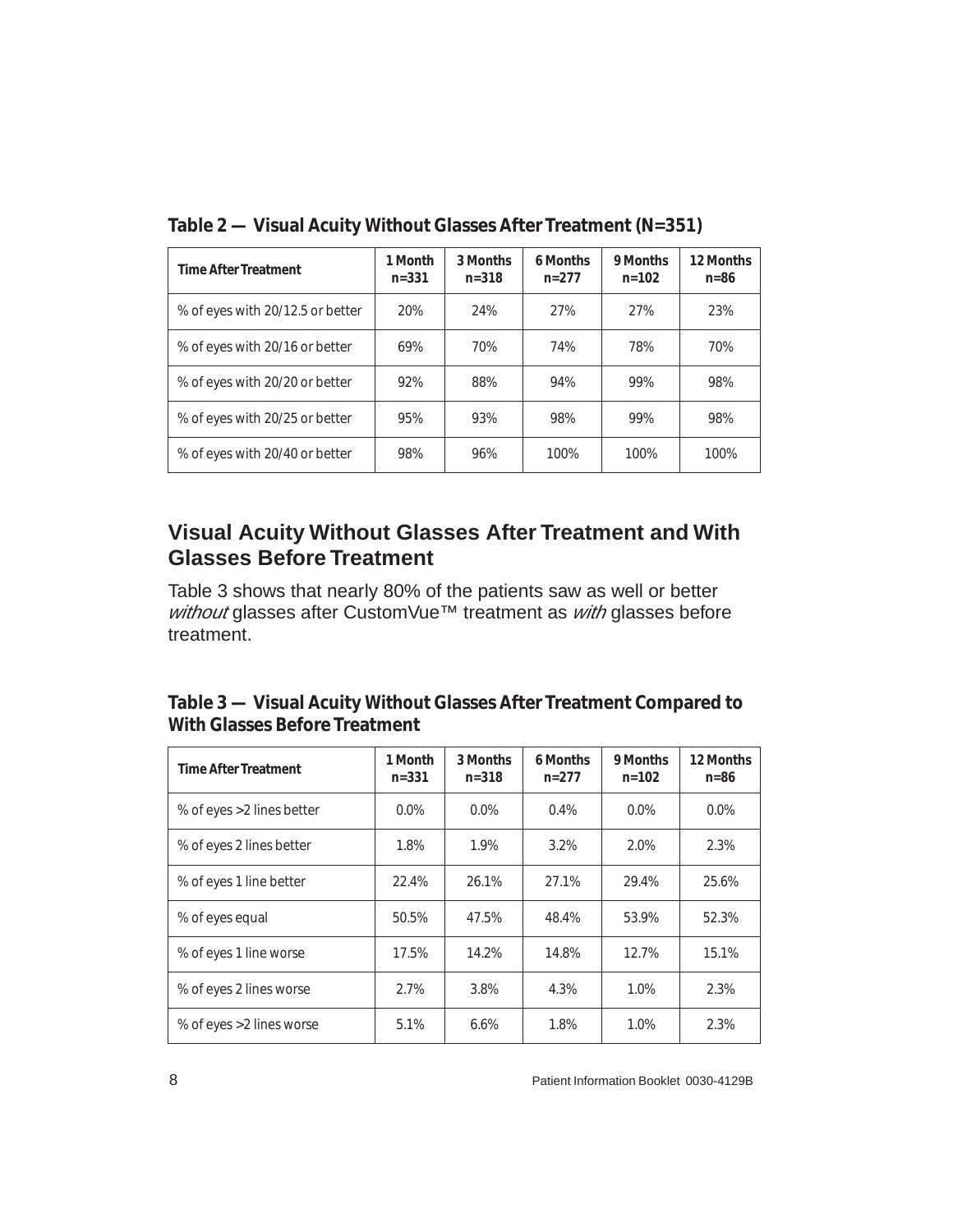| <b>Time After Treatment</b>      | 1 Month<br>$n = 331$ | 3 Months<br>$n = 318$ | 6 Months<br>$n=277$ | 9 Months<br>$n = 102$ | 12 Months<br>$n=86$ |
|----------------------------------|----------------------|-----------------------|---------------------|-----------------------|---------------------|
| % of eyes with 20/12.5 or better | <b>20%</b>           | 24%                   | 27%                 | 27%                   | 23%                 |
| % of eyes with 20/16 or better   | 69%                  | 70%                   | 74%                 | 78%                   | 70%                 |
| % of eyes with 20/20 or better   | 92%                  | 88%                   | 94%                 | 99%                   | 98%                 |
| % of eyes with 20/25 or better   | 95%                  | 93%                   | 98%                 | 99%                   | 98%                 |
| % of eyes with 20/40 or better   | 98%                  | 96%                   | 100%                | 100%                  | 100%                |

<span id="page-13-1"></span>**Table 2 — Visual Acuity** *Without* **Glasses After Treatment (N=351)**

#### <span id="page-13-0"></span>**Visual Acuity Without Glasses After Treatment and With Glasses Before Treatment**

Table [3](#page-13-2) shows that nearly 80% of the patients saw as well or better without glasses after CustomVue™ treatment as with glasses before treatment.

<span id="page-13-2"></span>

| Table 3 — Visual Acuity Without Glasses After Treatment Compared to |
|---------------------------------------------------------------------|
| <b>With Glasses Before Treatment</b>                                |

| <b>Time After Treatment</b> | 1 Month<br>$n = 331$ | 3 Months<br>$n = 318$ | 6 Months<br>$n = 277$ | 9 Months<br>$n = 102$ | 12 Months<br>$n=86$ |
|-----------------------------|----------------------|-----------------------|-----------------------|-----------------------|---------------------|
| % of eyes > 2 lines better  | $0.0\%$              | 0.0%                  | 0.4%                  | 0.0%                  | 0.0%                |
| % of eyes 2 lines better    | 1.8%                 | 1.9%                  | 3.2%                  | 2.0%                  | 2.3%                |
| % of eyes 1 line better     | 22.4%                | 26.1%                 | 27.1%                 | 29.4%                 | 25.6%               |
| % of eyes equal             | 50.5%                | 47.5%                 | 48.4%                 | 53.9%                 | 52.3%               |
| % of eyes 1 line worse      | 17.5%                | 14.2%                 | 14.8%                 | 12.7%                 | 15.1%               |
| % of eyes 2 lines worse     | 2.7%                 | 3.8%                  | 4.3%                  | 1.0%                  | 2.3%                |
| % of eyes > 2 lines worse   | 5.1%                 | 6.6%                  | 1.8%                  | 1.0%                  | 2.3%                |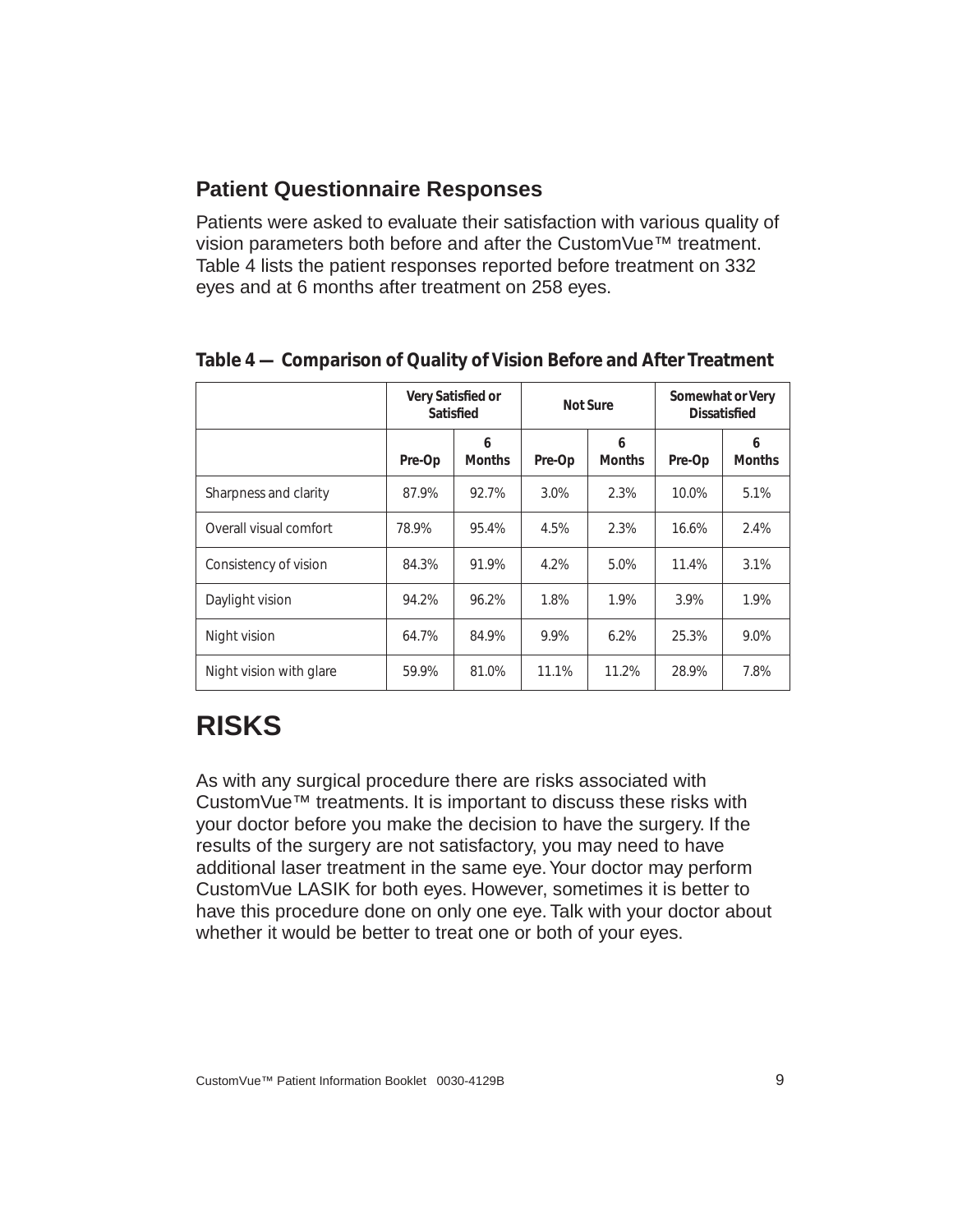### <span id="page-14-0"></span>**Patient Questionnaire Responses**

Patients were asked to evaluate their satisfaction with various quality of vision parameters both before and after the CustomVue™ treatment. Table [4](#page-14-2) lists the patient responses reported before treatment on 332 eyes and at 6 months after treatment on 258 eyes.

|                         | Very Satisfied or<br><b>Satisfied</b> |                    | <b>Not Sure</b> |                    | <b>Somewhat or Very</b><br><b>Dissatisfied</b> |                    |
|-------------------------|---------------------------------------|--------------------|-----------------|--------------------|------------------------------------------------|--------------------|
|                         | Pre-Op                                | 6<br><b>Months</b> | Pre-Op          | 6<br><b>Months</b> | Pre-Op                                         | 6<br><b>Months</b> |
| Sharpness and clarity   | 87.9%                                 | 92.7%              | 3.0%            | 2.3%               | 10.0%                                          | 5.1%               |
| Overall visual comfort  | 78.9%                                 | 95.4%              | 4.5%            | 2.3%               | 16.6%                                          | 2.4%               |
| Consistency of vision   | 84.3%                                 | 91.9%              | 4.2%            | 5.0%               | 11.4%                                          | 3.1%               |
| Daylight vision         | 94.2%                                 | 96.2%              | 1.8%            | 1.9%               | 3.9%                                           | 1.9%               |
| Night vision            | 64.7%                                 | 84.9%              | 9.9%            | 6.2%               | 25.3%                                          | 9.0%               |
| Night vision with glare | 59.9%                                 | 81.0%              | 11.1%           | 11.2%              | 28.9%                                          | 7.8%               |

<span id="page-14-2"></span>**Table 4 — Comparison of Quality of Vision Before and After Treatment**

# <span id="page-14-1"></span>**RISKS**

As with any surgical procedure there are risks associated with CustomVue™ treatments. It is important to discuss these risks with your doctor before you make the decision to have the surgery. If the results of the surgery are not satisfactory, you may need to have additional laser treatment in the same eye. Your doctor may perform CustomVue LASIK for both eyes. However, sometimes it is better to have this procedure done on only one eye. Talk with your doctor about whether it would be better to treat one or both of your eyes.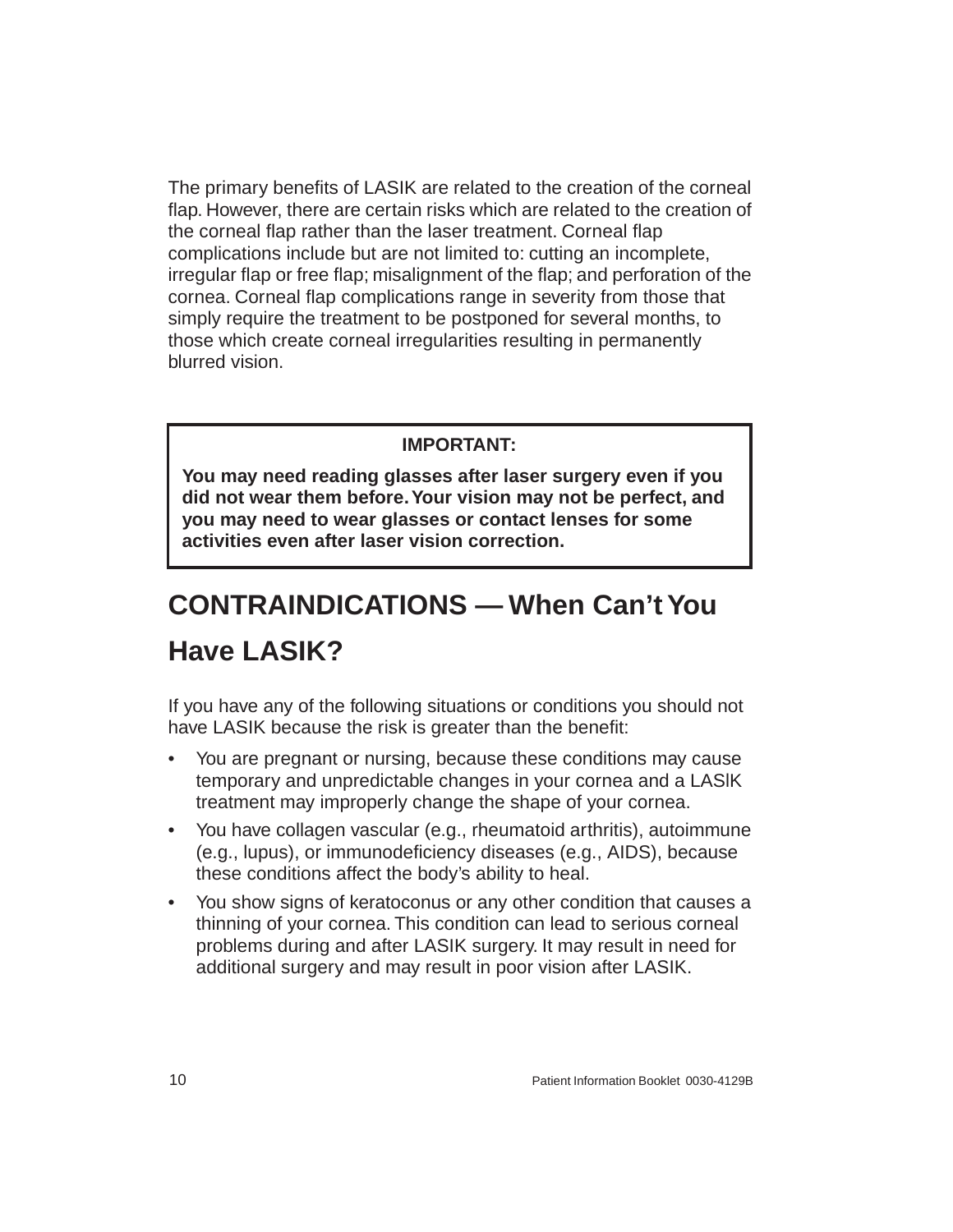The primary benefits of LASIK are related to the creation of the corneal flap. However, there are certain risks which are related to the creation of the corneal flap rather than the laser treatment. Corneal flap complications include but are not limited to: cutting an incomplete, irregular flap or free flap; misalignment of the flap; and perforation of the cornea. Corneal flap complications range in severity from those that simply require the treatment to be postponed for several months, to those which create corneal irregularities resulting in permanently blurred vision.

#### **IMPORTANT:**

**You may need reading glasses after laser surgery even if you did not wear them before. Your vision may not be perfect, and you may need to wear glasses or contact lenses for some activities even after laser vision correction.**

# <span id="page-15-0"></span>**CONTRAINDICATIONS — When Can't You Have LASIK?**

If you have any of the following situations or conditions you should not have LASIK because the risk is greater than the benefit:

- You are pregnant or nursing, because these conditions may cause temporary and unpredictable changes in your cornea and a LASlK treatment may improperly change the shape of your cornea.
- You have collagen vascular (e.g., rheumatoid arthritis), autoimmune (e.g., lupus), or immunodeficiency diseases (e.g., AIDS), because these conditions affect the body's ability to heal.
- You show signs of keratoconus or any other condition that causes a thinning of your cornea. This condition can lead to serious corneal problems during and after LASIK surgery. It may result in need for additional surgery and may result in poor vision after LASIK.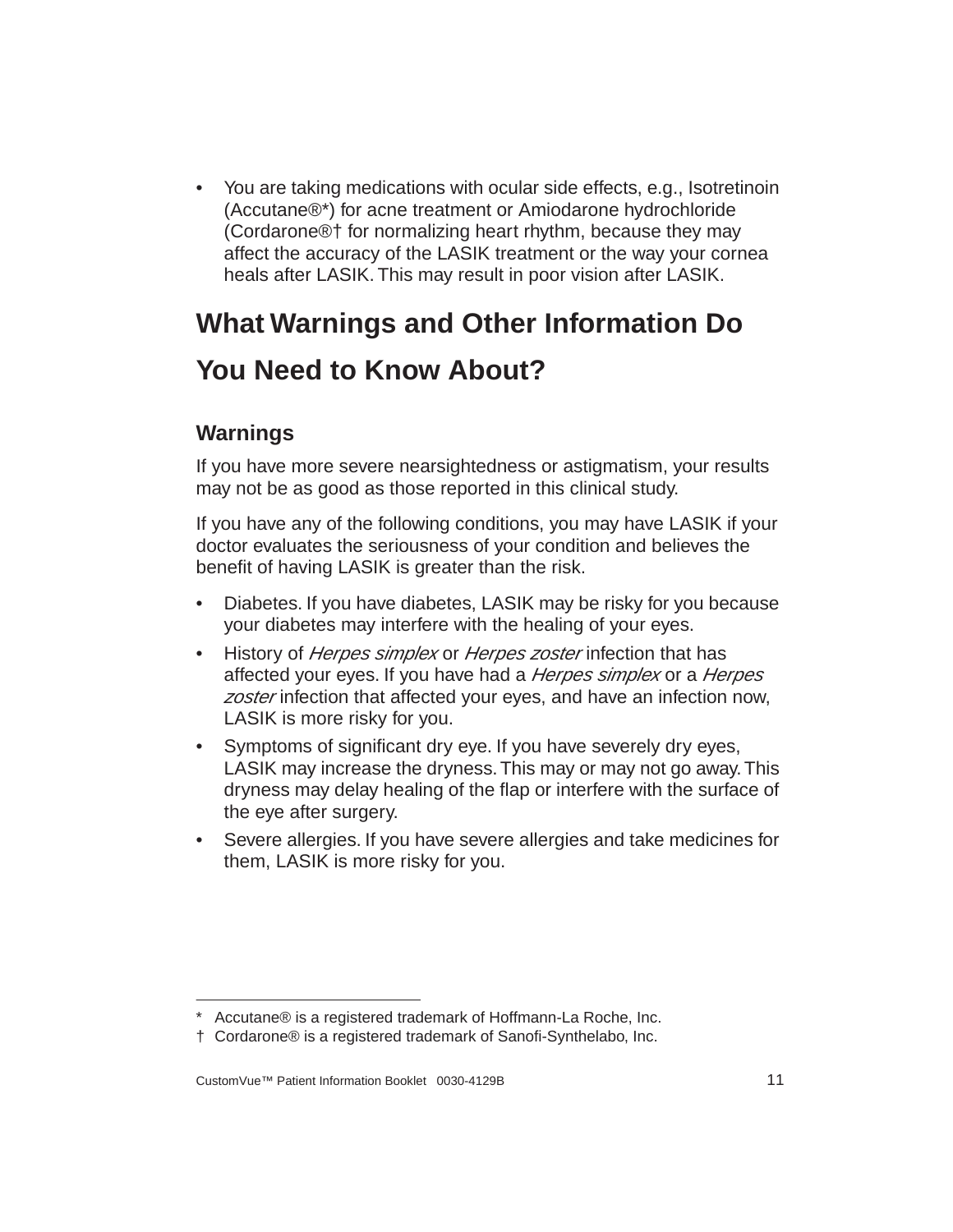• You are taking medications with ocular side effects, e.g., Isotretinoin (Accutane®\*) for acne treatment or Amiodarone hydrochloride (Cordarone®† for normalizing heart rhythm, because they may affect the accuracy of the LASIK treatment or the way your cornea heals after LASIK. This may result in poor vision after LASIK.

# <span id="page-16-0"></span>**What Warnings and Other Information Do You Need to Know About?**

# <span id="page-16-1"></span>**Warnings**

If you have more severe nearsightedness or astigmatism, your results may not be as good as those reported in this clinical study.

If you have any of the following conditions, you may have LASIK if your doctor evaluates the seriousness of your condition and believes the benefit of having LASIK is greater than the risk.

- Diabetes. If you have diabetes, LASIK may be risky for you because your diabetes may interfere with the healing of your eyes.
- History of *Herpes simplex* or *Herpes zoster* infection that has affected your eyes. If you have had a *Herpes simplex* or a *Herpes* zoster infection that affected your eyes, and have an infection now, LASIK is more risky for you.
- Symptoms of significant dry eye. If you have severely dry eyes, LASIK may increase the dryness. This may or may not go away. This dryness may delay healing of the flap or interfere with the surface of the eye after surgery.
- Severe allergies. If you have severe allergies and take medicines for them, LASIK is more risky for you.

<sup>\*</sup> Accutane® is a registered trademark of Hoffmann-La Roche, Inc.

<sup>†</sup> Cordarone® is a registered trademark of Sanofi-Synthelabo, Inc.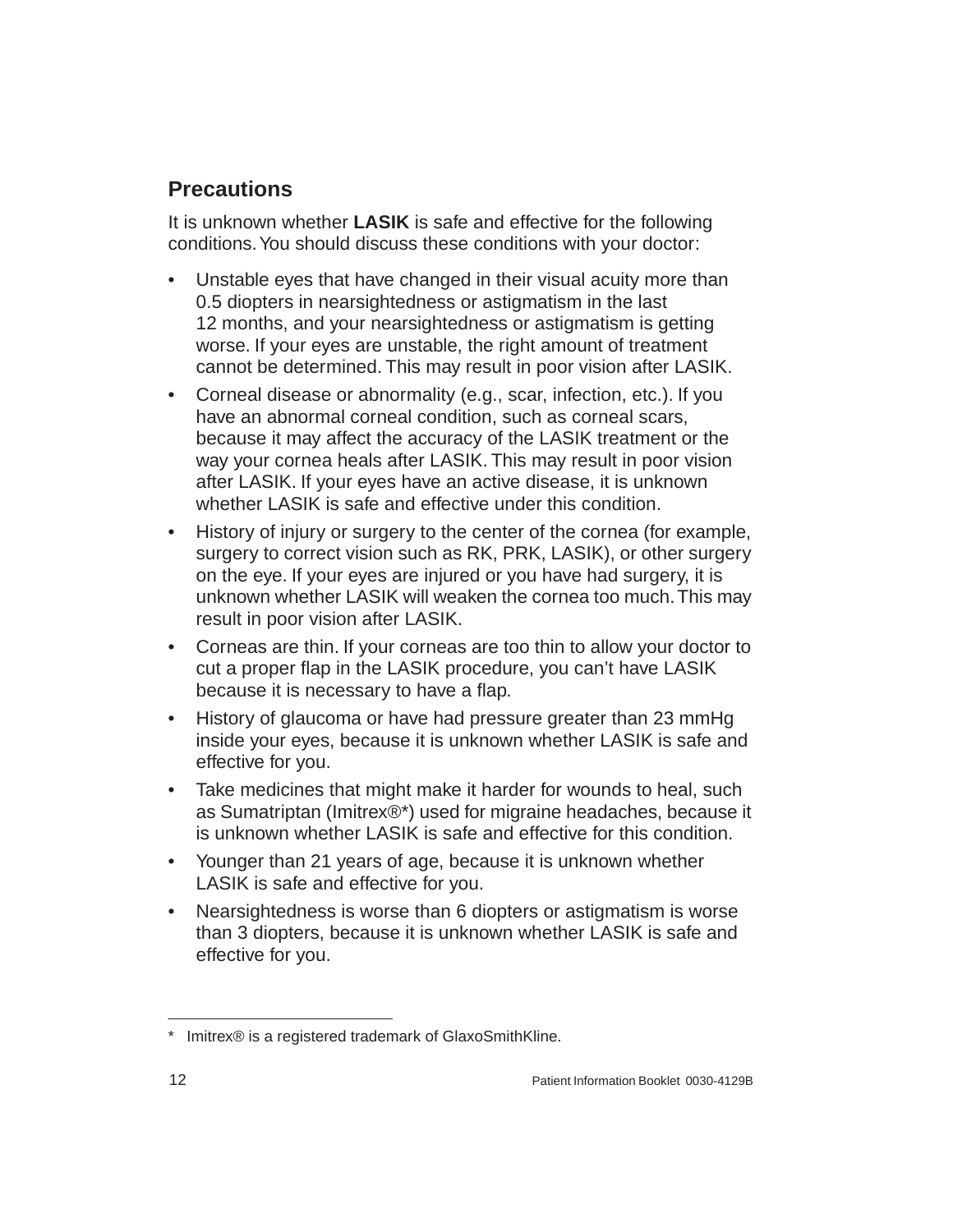## <span id="page-17-0"></span>**Precautions**

It is unknown whether **LASIK** is safe and effective for the following conditions. You should discuss these conditions with your doctor:

- Unstable eyes that have changed in their visual acuity more than 0.5 diopters in nearsightedness or astigmatism in the last 12 months, and your nearsightedness or astigmatism is getting worse. If your eyes are unstable, the right amount of treatment cannot be determined. This may result in poor vision after LASIK.
- Corneal disease or abnormality (e.g., scar, infection, etc.). If you have an abnormal corneal condition, such as corneal scars, because it may affect the accuracy of the LASIK treatment or the way your cornea heals after LASIK. This may result in poor vision after LASIK. If your eyes have an active disease, it is unknown whether LASIK is safe and effective under this condition.
- History of injury or surgery to the center of the cornea (for example, surgery to correct vision such as RK, PRK, LASIK), or other surgery on the eye. If your eyes are injured or you have had surgery, it is unknown whether LASIK will weaken the cornea too much. This may result in poor vision after LASIK.
- Corneas are thin. If your corneas are too thin to allow your doctor to cut a proper flap in the LASIK procedure, you can't have LASIK because it is necessary to have a flap.
- History of glaucoma or have had pressure greater than 23 mmHg inside your eyes, because it is unknown whether LASIK is safe and effective for you.
- Take medicines that might make it harder for wounds to heal, such as Sumatriptan (Imitrex®\*) used for migraine headaches, because it is unknown whether LASIK is safe and effective for this condition.
- Younger than 21 years of age, because it is unknown whether LASIK is safe and effective for you.
- Nearsightedness is worse than 6 diopters or astigmatism is worse than 3 diopters, because it is unknown whether LASIK is safe and effective for you.

Imitrex® is a registered trademark of GlaxoSmithKline.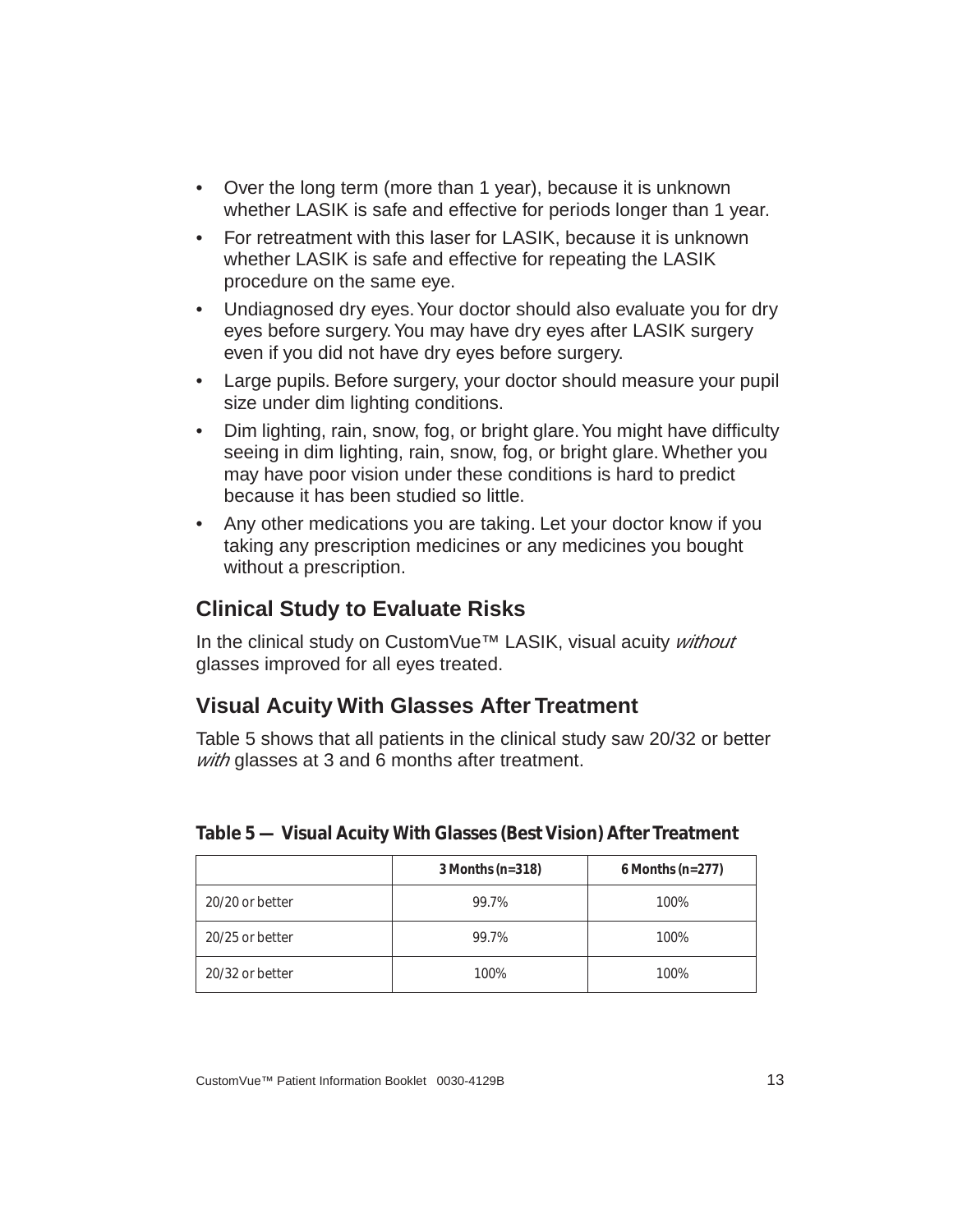- Over the long term (more than 1 year), because it is unknown whether LASIK is safe and effective for periods longer than 1 year.
- For retreatment with this laser for LASIK, because it is unknown whether LASIK is safe and effective for repeating the LASIK procedure on the same eye.
- Undiagnosed dry eyes. Your doctor should also evaluate you for dry eyes before surgery. You may have dry eyes after LASIK surgery even if you did not have dry eyes before surgery.
- Large pupils. Before surgery, your doctor should measure your pupil size under dim lighting conditions.
- Dim lighting, rain, snow, fog, or bright glare. You might have difficulty seeing in dim lighting, rain, snow, fog, or bright glare. Whether you may have poor vision under these conditions is hard to predict because it has been studied so little.
- Any other medications you are taking. Let your doctor know if you taking any prescription medicines or any medicines you bought without a prescription.

## <span id="page-18-0"></span>**Clinical Study to Evaluate Risks**

In the clinical study on CustomVue™ LASIK, visual acuity without glasses improved for all eyes treated.

## <span id="page-18-1"></span>**Visual Acuity With Glasses After Treatment**

Table [5](#page-18-2) shows that all patients in the clinical study saw 20/32 or better with glasses at 3 and 6 months after treatment.

|                 | $3$ Months (n= $318$ ) | $6$ Months (n=277) |
|-----------------|------------------------|--------------------|
| 20/20 or better | 99.7%                  | 100%               |
| 20/25 or better | 99.7%                  | 100%               |
| 20/32 or better | 100%                   | 100%               |

#### <span id="page-18-2"></span>**Table 5 — Visual Acuity** *With* **Glasses (Best Vision) After Treatment**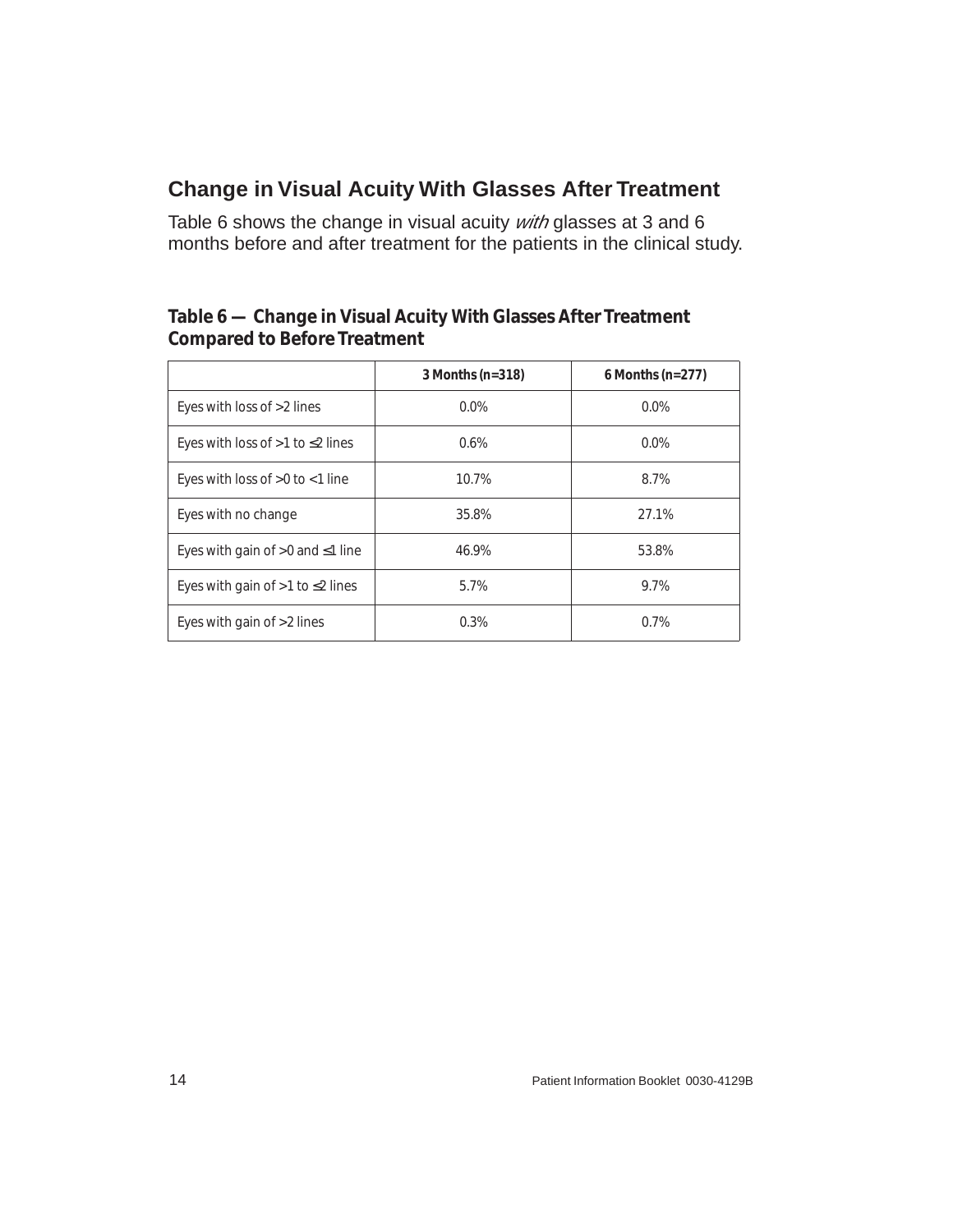## <span id="page-19-0"></span>**Change in Visual Acuity With Glasses After Treatment**

Table [6](#page-19-1) shows the change in visual acuity with glasses at 3 and 6 months before and after treatment for the patients in the clinical study.

#### <span id="page-19-1"></span>**Table 6 — Change in Visual Acuity** *With* **Glasses After Treatment Compared to Before Treatment**

|                                          | $3$ Months (n= $318$ ) | $6$ Months (n=277) |
|------------------------------------------|------------------------|--------------------|
| Eyes with loss of >2 lines               | $0.0\%$                | $0.0\%$            |
| Eyes with loss of $>1$ to $\leq$ 2 lines | 0.6%                   | $0.0\%$            |
| Eyes with loss of $>0$ to $<$ 1 line     | 10.7%                  | 8.7%               |
| Eyes with no change                      | 35.8%                  | 27.1%              |
| Eyes with gain of $>0$ and $\leq$ 1 line | 46.9%                  | 53.8%              |
| Eyes with gain of $>1$ to $\leq$ 2 lines | 5.7%                   | 9.7%               |
| Eyes with gain of $>2$ lines             | 0.3%                   | 0.7%               |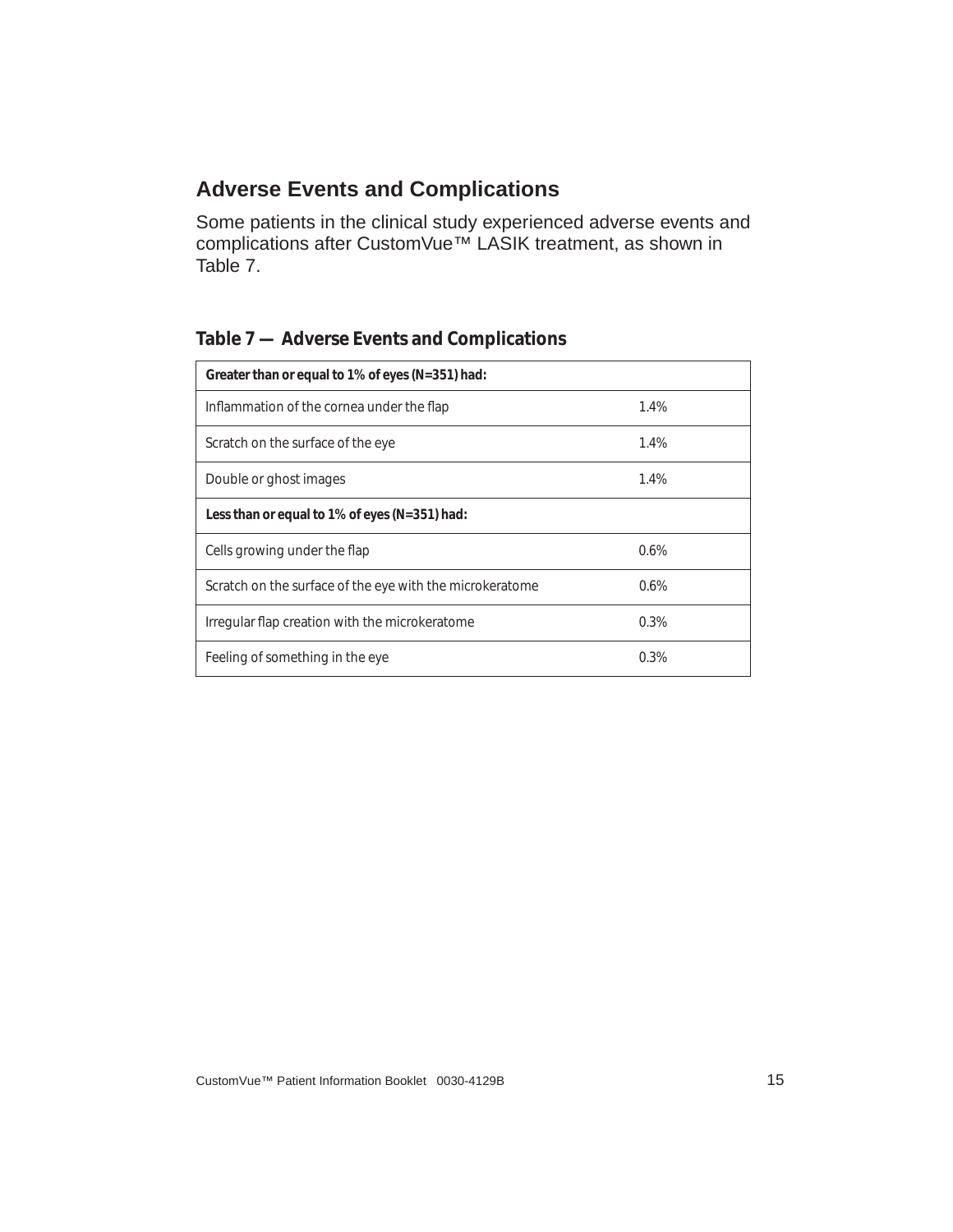### <span id="page-20-0"></span>**Adverse Events and Complications**

Some patients in the clinical study experienced adverse events and complications after CustomVue<sup>™</sup> LASIK treatment, as shown in Table [7](#page-20-1).

| Greater than or equal to 1% of eyes (N=351) had:         |         |  |  |  |
|----------------------------------------------------------|---------|--|--|--|
| Inflammation of the cornea under the flap                | 1.4%    |  |  |  |
| Scratch on the surface of the eye                        | 1.4%    |  |  |  |
| Double or ghost images                                   | 1.4%    |  |  |  |
| Less than or equal to 1% of eyes (N=351) had:            |         |  |  |  |
| Cells growing under the flap                             | 0.6%    |  |  |  |
| Scratch on the surface of the eye with the microkeratome | $0.6\%$ |  |  |  |
| Irregular flap creation with the microkeratome           | 0.3%    |  |  |  |
| Feeling of something in the eye                          | 0.3%    |  |  |  |

#### <span id="page-20-1"></span>**Table 7 — Adverse Events and Complications**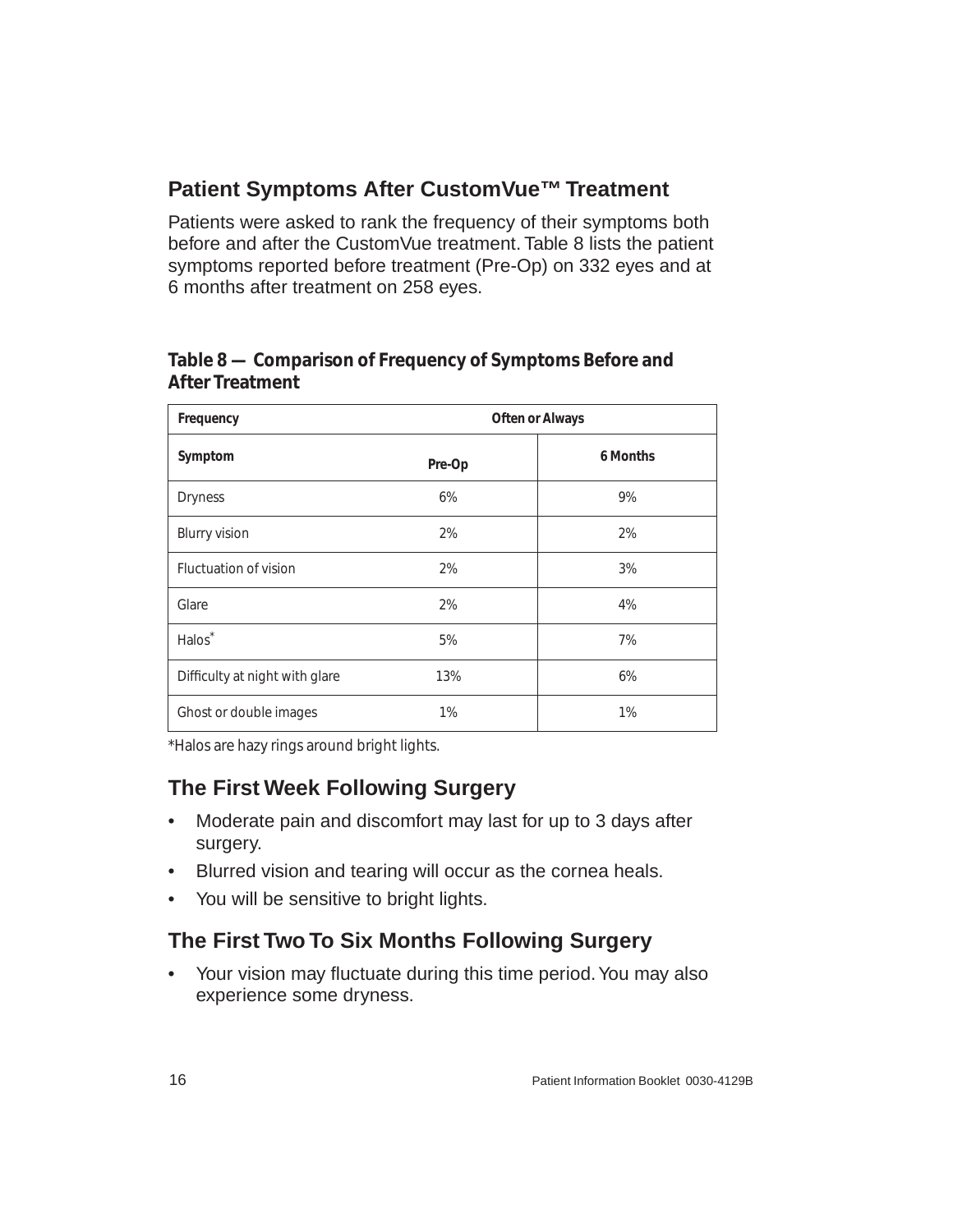## <span id="page-21-0"></span>**Patient Symptoms After CustomVue™ Treatment**

Patients were asked to rank the frequency of their symptoms both before and after the CustomVue treatment. Table [8](#page-21-3) lists the patient symptoms reported before treatment (Pre-Op) on 332 eyes and at 6 months after treatment on 258 eyes.

#### <span id="page-21-3"></span>**Table 8 — Comparison of Frequency of Symptoms Before and After Treatment**

| Frequency                      | <b>Often or Always</b> |          |  |  |
|--------------------------------|------------------------|----------|--|--|
| Symptom                        | Pre-Op                 | 6 Months |  |  |
| <b>Dryness</b>                 | 6%                     | 9%       |  |  |
| <b>Blurry vision</b>           | 2%                     | 2%       |  |  |
| Fluctuation of vision          | 2%                     | 3%       |  |  |
| Glare                          | 2%                     | 4%       |  |  |
| Halos <sup>*</sup>             | 5%                     | 7%       |  |  |
| Difficulty at night with glare | 13%                    | 6%       |  |  |
| Ghost or double images         | 1%                     | 1%       |  |  |

\*Halos are hazy rings around bright lights.

# <span id="page-21-1"></span>**The First Week Following Surgery**

- Moderate pain and discomfort may last for up to 3 days after surgery.
- Blurred vision and tearing will occur as the cornea heals.
- You will be sensitive to bright lights.

# <span id="page-21-2"></span>**The First Two To Six Months Following Surgery**

• Your vision may fluctuate during this time period. You may also experience some dryness.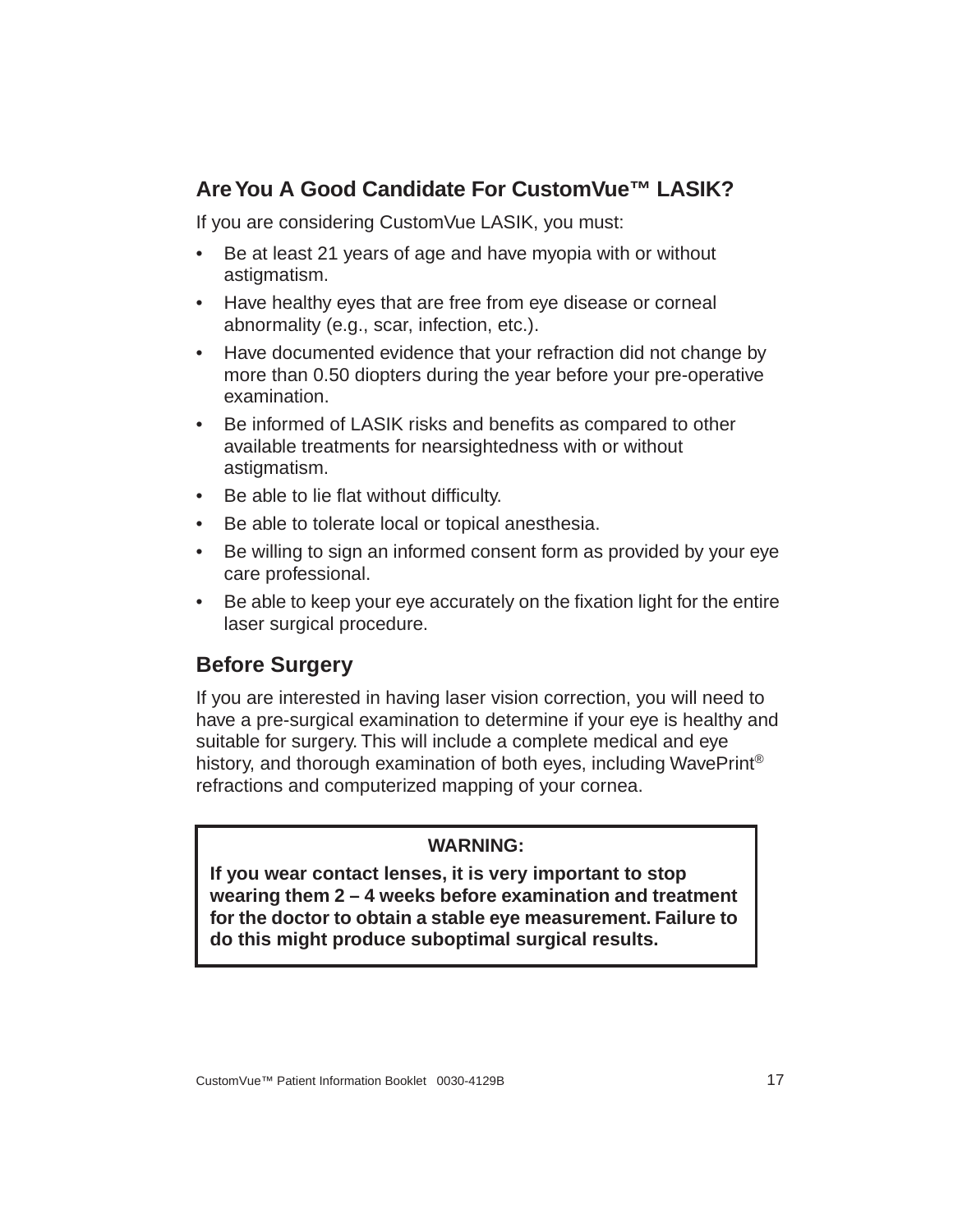## <span id="page-22-0"></span>**Are You A Good Candidate For CustomVue™ LASIK?**

If you are considering CustomVue LASIK, you must:

- Be at least 21 years of age and have myopia with or without astigmatism.
- Have healthy eyes that are free from eye disease or corneal abnormality (e.g., scar, infection, etc.).
- Have documented evidence that your refraction did not change by more than 0.50 diopters during the year before your pre-operative examination.
- Be informed of LASIK risks and benefits as compared to other available treatments for nearsightedness with or without astigmatism.
- Be able to lie flat without difficulty.
- Be able to tolerate local or topical anesthesia.
- Be willing to sign an informed consent form as provided by your eye care professional.
- Be able to keep your eye accurately on the fixation light for the entire laser surgical procedure.

## <span id="page-22-1"></span>**Before Surgery**

If you are interested in having laser vision correction, you will need to have a pre-surgical examination to determine if your eye is healthy and suitable for surgery. This will include a complete medical and eye history, and thorough examination of both eyes, including WavePrint<sup>®</sup> refractions and computerized mapping of your cornea.

#### **WARNING:**

**If you wear contact lenses, it is very important to stop wearing them 2 – 4 weeks before examination and treatment for the doctor to obtain a stable eye measurement. Failure to do this might produce suboptimal surgical results.**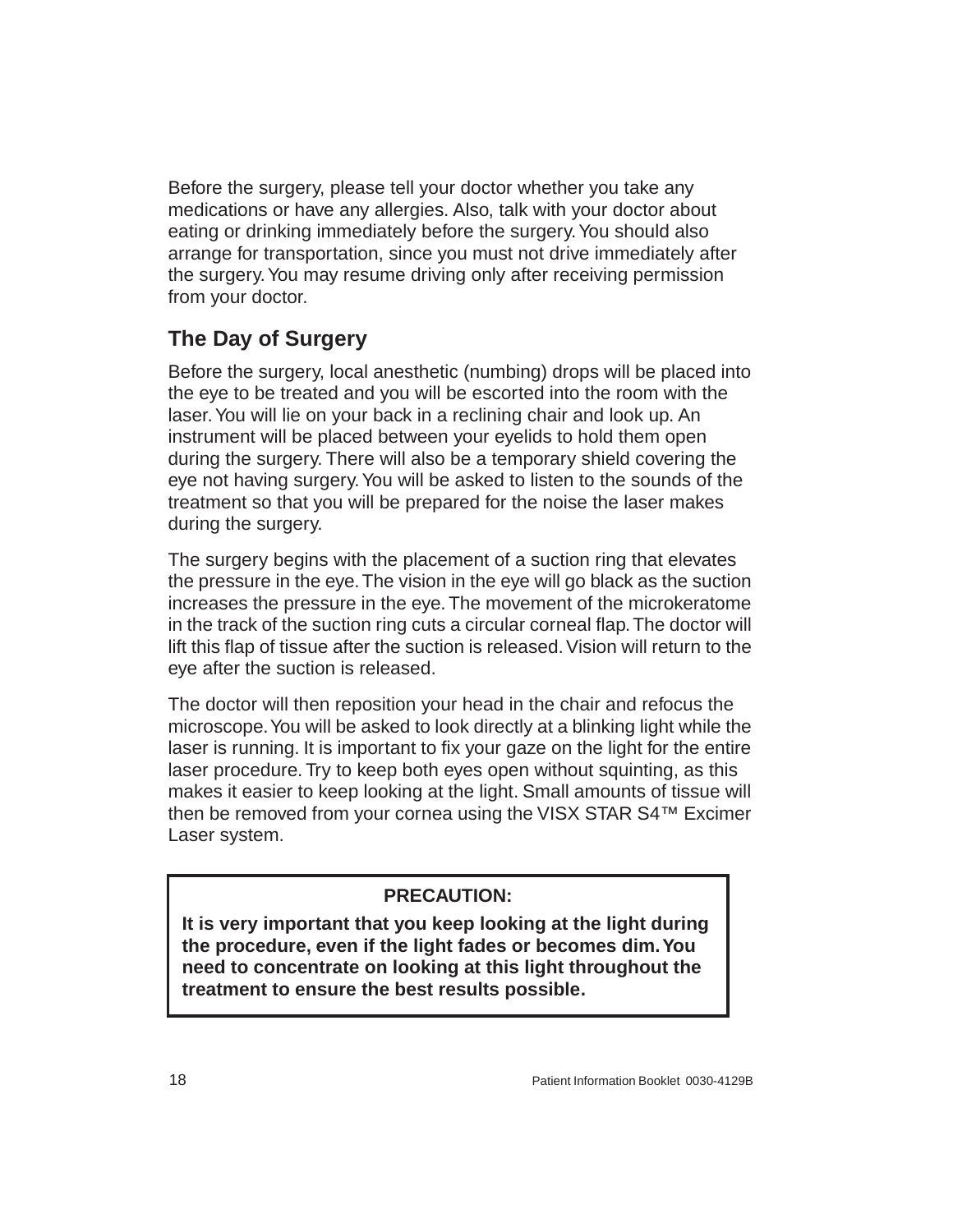Before the surgery, please tell your doctor whether you take any medications or have any allergies. Also, talk with your doctor about eating or drinking immediately before the surgery. You should also arrange for transportation, since you must not drive immediately after the surgery. You may resume driving only after receiving permission from your doctor.

# <span id="page-23-0"></span>**The Day of Surgery**

Before the surgery, local anesthetic (numbing) drops will be placed into the eye to be treated and you will be escorted into the room with the laser. You will lie on your back in a reclining chair and look up. An instrument will be placed between your eyelids to hold them open during the surgery. There will also be a temporary shield covering the eye not having surgery. You will be asked to listen to the sounds of the treatment so that you will be prepared for the noise the laser makes during the surgery.

The surgery begins with the placement of a suction ring that elevates the pressure in the eye. The vision in the eye will go black as the suction increases the pressure in the eye. The movement of the microkeratome in the track of the suction ring cuts a circular corneal flap. The doctor will lift this flap of tissue after the suction is released. Vision will return to the eye after the suction is released.

The doctor will then reposition your head in the chair and refocus the microscope. You will be asked to look directly at a blinking light while the laser is running. It is important to fix your gaze on the light for the entire laser procedure. Try to keep both eyes open without squinting, as this makes it easier to keep looking at the light. Small amounts of tissue will then be removed from your cornea using the VISX STAR S4™ Excimer Laser system.

#### **PRECAUTION:**

**It is very important that you keep looking at the light during the procedure, even if the light fades or becomes dim. You need to concentrate on looking at this light throughout the treatment to ensure the best results possible.**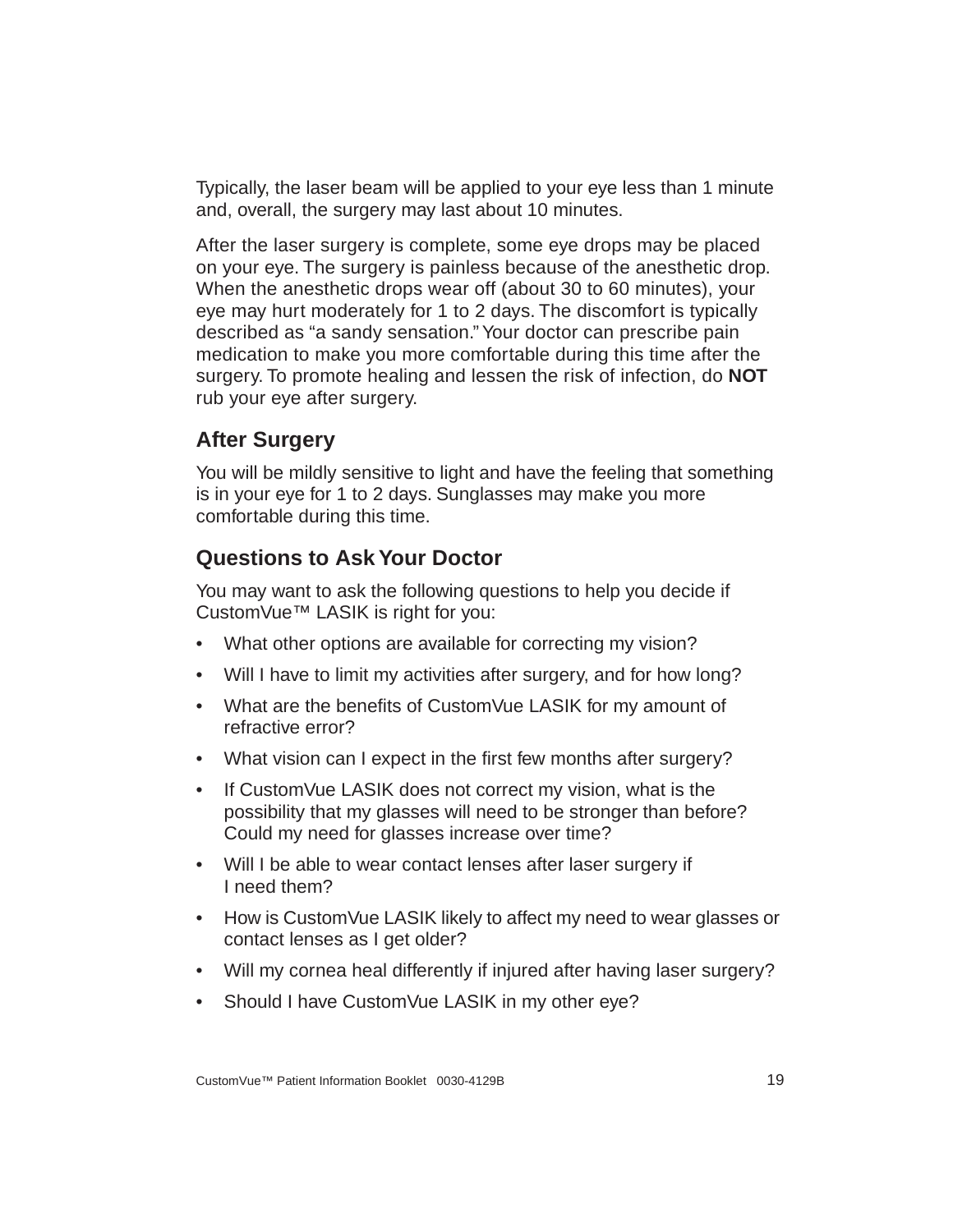Typically, the laser beam will be applied to your eye less than 1 minute and, overall, the surgery may last about 10 minutes.

After the laser surgery is complete, some eye drops may be placed on your eye. The surgery is painless because of the anesthetic drop. When the anesthetic drops wear off (about 30 to 60 minutes), your eye may hurt moderately for 1 to 2 days. The discomfort is typically described as "a sandy sensation." Your doctor can prescribe pain medication to make you more comfortable during this time after the surgery. To promote healing and lessen the risk of infection, do **NOT** rub your eye after surgery.

## <span id="page-24-0"></span>**After Surgery**

You will be mildly sensitive to light and have the feeling that something is in your eye for 1 to 2 days. Sunglasses may make you more comfortable during this time.

## <span id="page-24-1"></span>**Questions to Ask Your Doctor**

You may want to ask the following questions to help you decide if CustomVue™ LASIK is right for you:

- What other options are available for correcting my vision?
- Will I have to limit my activities after surgery, and for how long?
- What are the benefits of CustomVue LASIK for my amount of refractive error?
- What vision can I expect in the first few months after surgery?
- If CustomVue LASIK does not correct my vision, what is the possibility that my glasses will need to be stronger than before? Could my need for glasses increase over time?
- Will I be able to wear contact lenses after laser surgery if I need them?
- How is CustomVue LASIK likely to affect my need to wear glasses or contact lenses as I get older?
- Will my cornea heal differently if injured after having laser surgery?
- Should I have CustomVue LASIK in my other eye?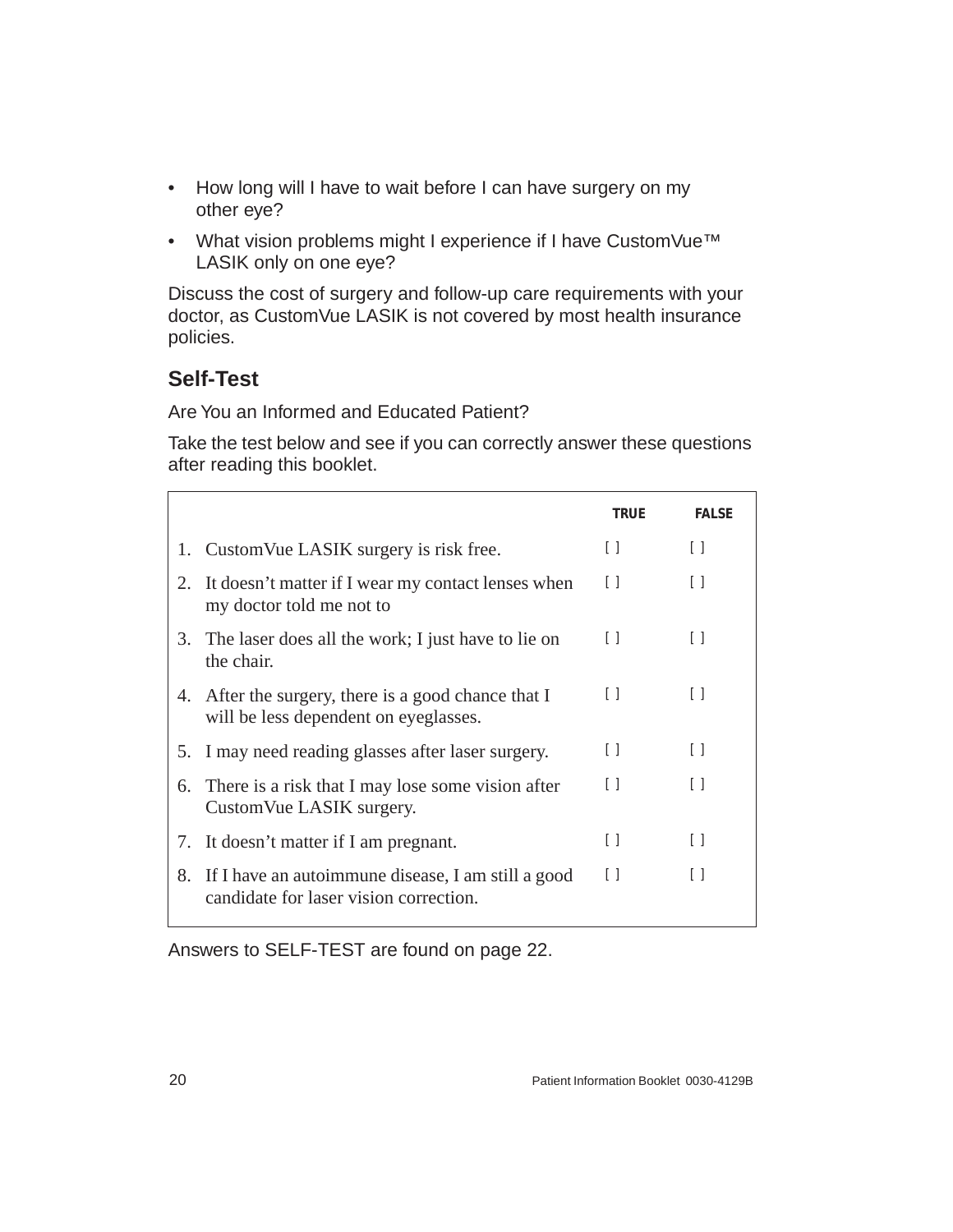- How long will I have to wait before I can have surgery on my other eye?
- What vision problems might I experience if I have CustomVue™ LASIK only on one eye?

Discuss the cost of surgery and follow-up care requirements with your doctor, as CustomVue LASIK is not covered by most health insurance policies.

# <span id="page-25-0"></span>**Self-Test**

Are You an Informed and Educated Patient?

Take the test below and see if you can correctly answer these questions after reading this booklet.

|    |                                                                                              | TRUE                                   | <b>FAI SF</b>                          |
|----|----------------------------------------------------------------------------------------------|----------------------------------------|----------------------------------------|
|    | 1. Custom Vue LASIK surgery is risk free.                                                    | $\Box$                                 | $[ \ ]$                                |
| 2. | It doesn't matter if I wear my contact lenses when<br>my doctor told me not to               | $\left[ \ \right]$                     | Ħ                                      |
|    | 3. The laser does all the work; I just have to lie on<br>the chair.                          | $\Box$                                 | $\perp$                                |
|    | 4. After the surgery, there is a good chance that I<br>will be less dependent on eyeglasses. | $[ \ ]$                                | $\Box$                                 |
|    | 5. I may need reading glasses after laser surgery.                                           | $\begin{array}{c} \square \end{array}$ | $\begin{array}{c} \square \end{array}$ |
| 6. | There is a risk that I may lose some vision after<br>CustomVue LASIK surgery.                | $\Box$                                 | $\Box$                                 |
| 7. | It doesn't matter if I am pregnant.                                                          | U                                      | $\Box$                                 |
| 8. | If I have an autoimmune disease, I am still a good<br>candidate for laser vision correction. | $\Box$                                 | $\Box$                                 |

Answers to SELF-TEST are found on [page 22.](#page-27-0)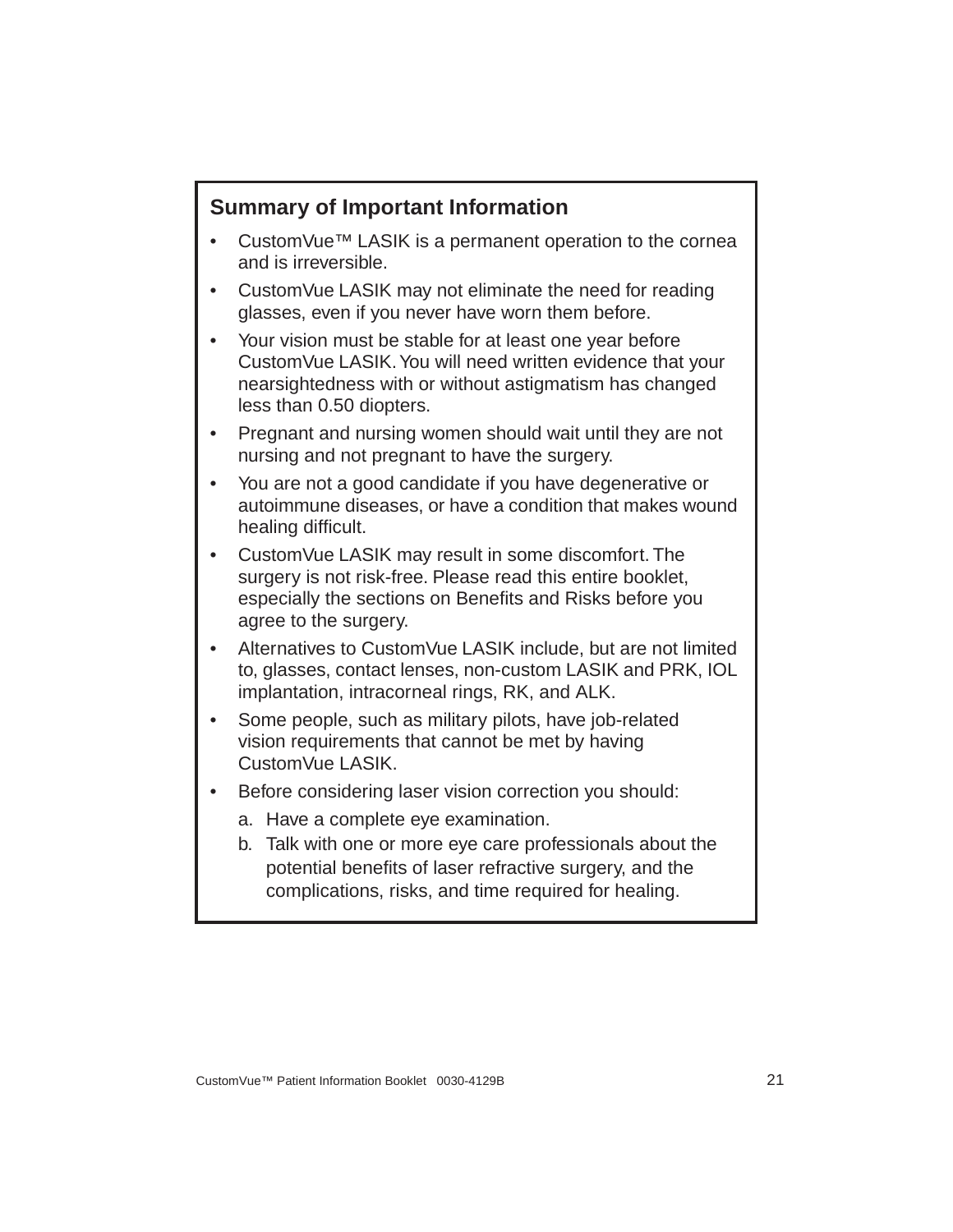## <span id="page-26-0"></span>**Summary of Important Information**

- CustomVue™ LASIK is a permanent operation to the cornea and is irreversible.
- CustomVue LASIK may not eliminate the need for reading glasses, even if you never have worn them before.
- Your vision must be stable for at least one year before CustomVue LASIK. You will need written evidence that your nearsightedness with or without astigmatism has changed less than 0.50 diopters.
- Pregnant and nursing women should wait until they are not nursing and not pregnant to have the surgery.
- You are not a good candidate if you have degenerative or autoimmune diseases, or have a condition that makes wound healing difficult.
- CustomVue LASIK may result in some discomfort. The surgery is not risk-free. Please read this entire booklet, especially the sections on Benefits and Risks before you agree to the surgery.
- Alternatives to CustomVue LASIK include, but are not limited to, glasses, contact lenses, non-custom LASIK and PRK, IOL implantation, intracorneal rings, RK, and ALK.
- Some people, such as military pilots, have job-related vision requirements that cannot be met by having CustomVue LASIK.
- Before considering laser vision correction you should:
	- a. Have a complete eye examination.
	- b. Talk with one or more eye care professionals about the potential benefits of laser refractive surgery, and the complications, risks, and time required for healing.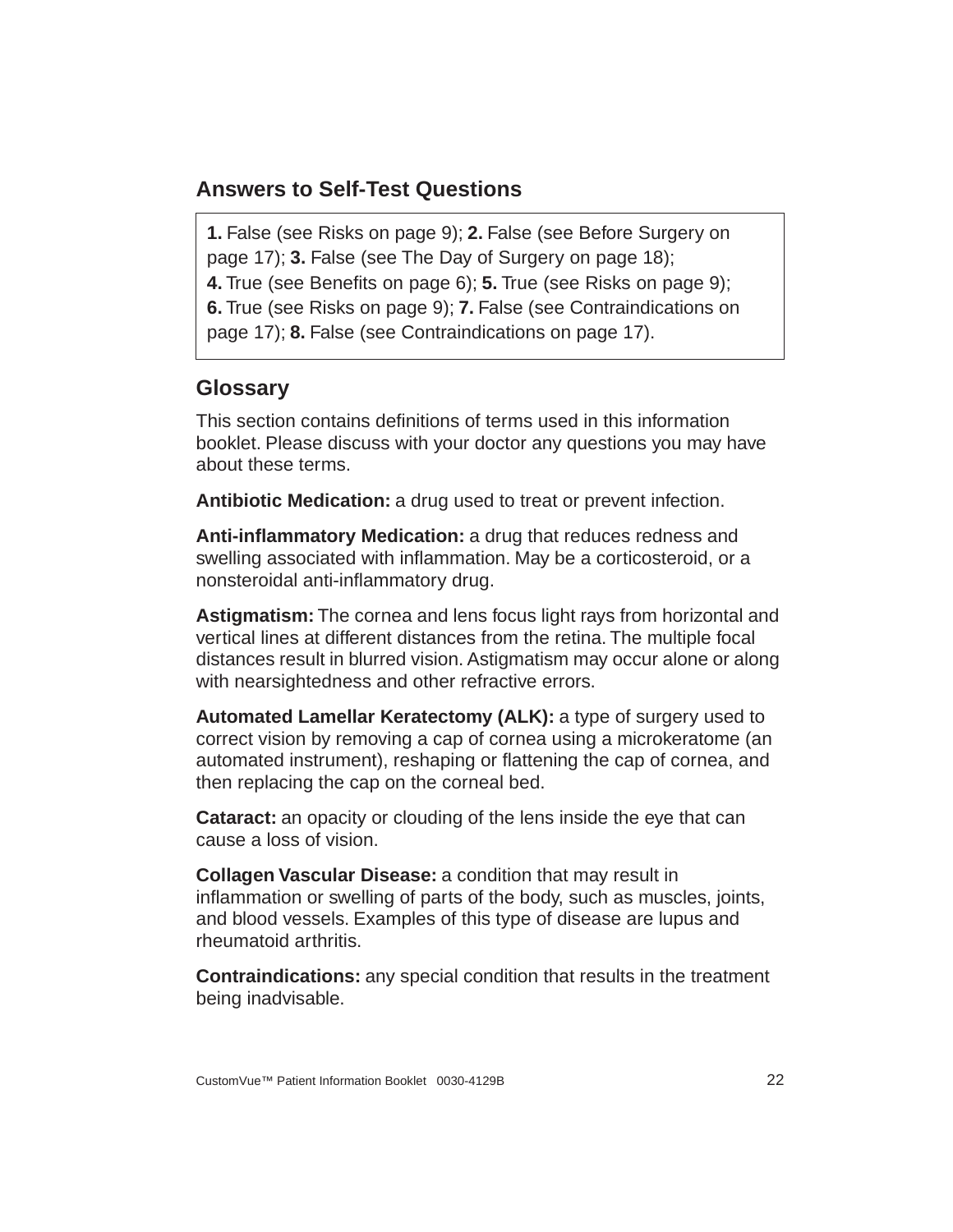#### <span id="page-27-0"></span>**Answers to Self-Test Questions**

**1.** False (see Risks on [page 9](#page-14-1)); **2.** False (see Before Surgery on [page 17](#page-22-1)); **3.** False (see The Day of Surgery on [page 18](#page-23-0)); **4.** True (see Benefits on [page 6\)](#page-11-1); **5.** True (see Risks on [page 9\)](#page-14-1); **6.** True (see Risks on [page 9\)](#page-14-1); **7.** False (see Contraindications on [page 17](#page-22-0)); **8.** False (see Contraindications on [page 17\)](#page-22-0).

#### <span id="page-27-1"></span>**Glossary**

This section contains definitions of terms used in this information booklet. Please discuss with your doctor any questions you may have about these terms.

**Antibiotic Medication:** a drug used to treat or prevent infection.

**Anti-inflammatory Medication:** a drug that reduces redness and swelling associated with inflammation. May be a corticosteroid, or a nonsteroidal anti-inflammatory drug.

**Astigmatism:** The cornea and lens focus light rays from horizontal and vertical lines at different distances from the retina. The multiple focal distances result in blurred vision. Astigmatism may occur alone or along with nearsightedness and other refractive errors.

**Automated Lamellar Keratectomy (ALK):** a type of surgery used to correct vision by removing a cap of cornea using a microkeratome (an automated instrument), reshaping or flattening the cap of cornea, and then replacing the cap on the corneal bed.

**Cataract:** an opacity or clouding of the lens inside the eye that can cause a loss of vision.

**Collagen Vascular Disease:** a condition that may result in inflammation or swelling of parts of the body, such as muscles, joints, and blood vessels. Examples of this type of disease are lupus and rheumatoid arthritis.

**Contraindications:** any special condition that results in the treatment being inadvisable.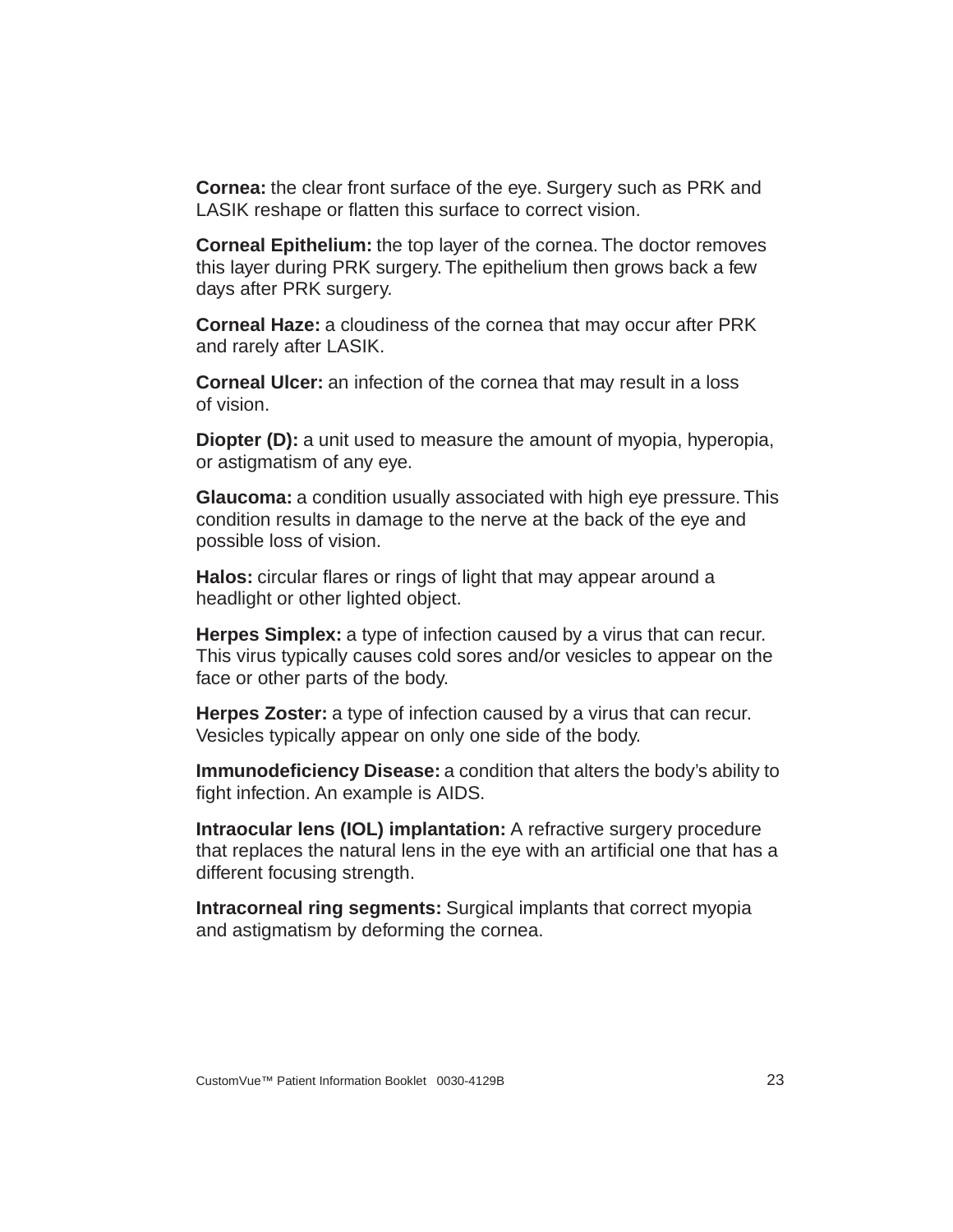**Cornea:** the clear front surface of the eye. Surgery such as PRK and LASIK reshape or flatten this surface to correct vision.

**Corneal Epithelium:** the top layer of the cornea. The doctor removes this layer during PRK surgery. The epithelium then grows back a few days after PRK surgery.

**Corneal Haze:** a cloudiness of the cornea that may occur after PRK and rarely after LASIK.

**Corneal Ulcer:** an infection of the cornea that may result in a loss of vision.

**Diopter (D):** a unit used to measure the amount of myopia, hyperopia, or astigmatism of any eye.

**Glaucoma:** a condition usually associated with high eye pressure. This condition results in damage to the nerve at the back of the eye and possible loss of vision.

**Halos:** circular flares or rings of light that may appear around a headlight or other lighted object.

**Herpes Simplex:** a type of infection caused by a virus that can recur. This virus typically causes cold sores and/or vesicles to appear on the face or other parts of the body.

**Herpes Zoster:** a type of infection caused by a virus that can recur. Vesicles typically appear on only one side of the body.

**Immunodeficiency Disease:** a condition that alters the body's ability to fight infection. An example is AIDS.

**Intraocular lens (IOL) implantation:** A refractive surgery procedure that replaces the natural lens in the eye with an artificial one that has a different focusing strength.

**Intracorneal ring segments:** Surgical implants that correct myopia and astigmatism by deforming the cornea.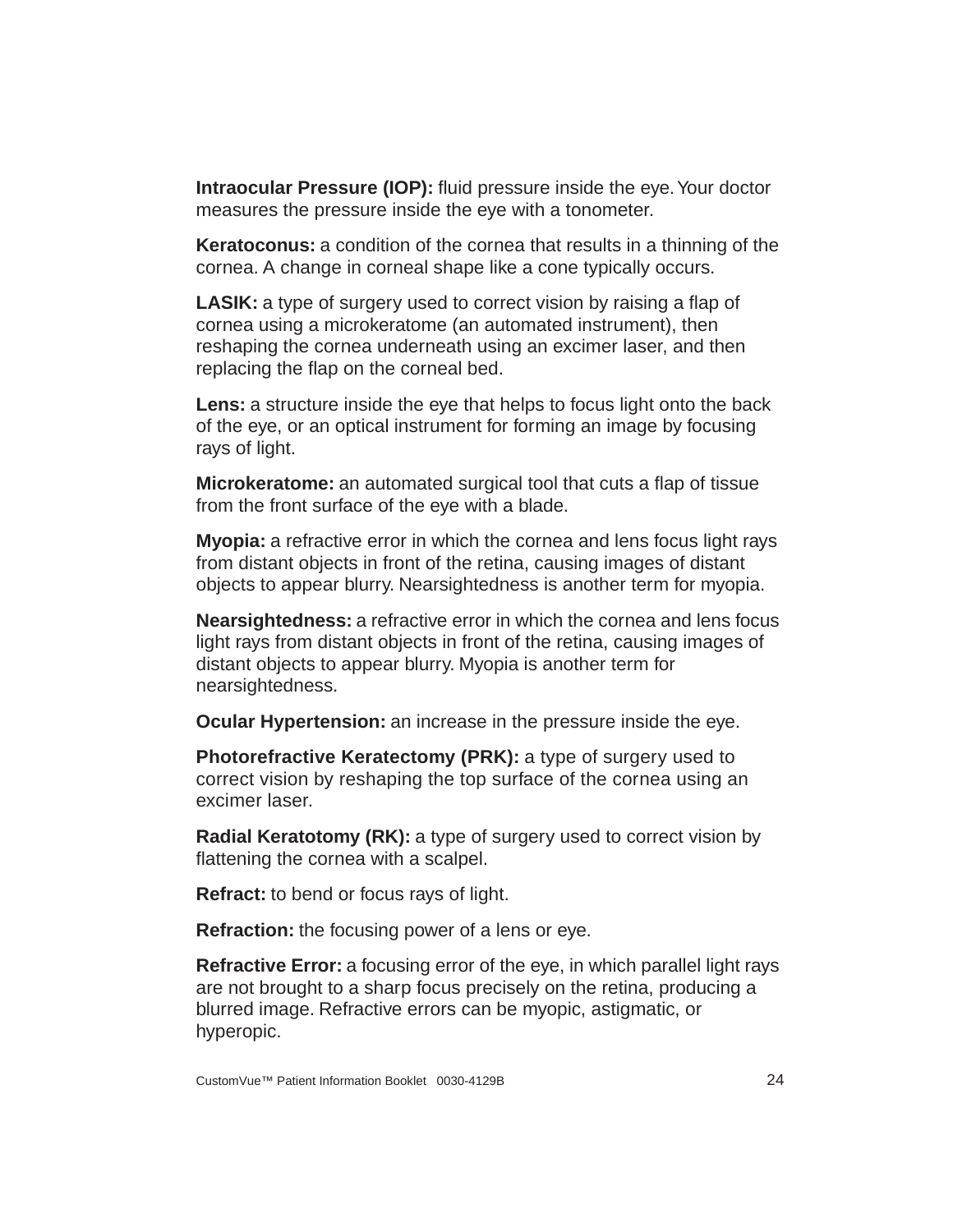**Intraocular Pressure (IOP):** fluid pressure inside the eye. Your doctor measures the pressure inside the eye with a tonometer.

**Keratoconus:** a condition of the cornea that results in a thinning of the cornea. A change in corneal shape like a cone typically occurs.

**LASIK:** a type of surgery used to correct vision by raising a flap of cornea using a microkeratome (an automated instrument), then reshaping the cornea underneath using an excimer laser, and then replacing the flap on the corneal bed.

**Lens:** a structure inside the eye that helps to focus light onto the back of the eye, or an optical instrument for forming an image by focusing rays of light.

**Microkeratome:** an automated surgical tool that cuts a flap of tissue from the front surface of the eye with a blade.

**Myopia:** a refractive error in which the cornea and lens focus light rays from distant objects in front of the retina, causing images of distant objects to appear blurry. Nearsightedness is another term for myopia.

**Nearsightedness:** a refractive error in which the cornea and lens focus light rays from distant objects in front of the retina, causing images of distant objects to appear blurry. Myopia is another term for nearsightedness.

**Ocular Hypertension:** an increase in the pressure inside the eye.

**Photorefractive Keratectomy (PRK):** a type of surgery used to correct vision by reshaping the top surface of the cornea using an excimer laser.

**Radial Keratotomy (RK):** a type of surgery used to correct vision by flattening the cornea with a scalpel.

**Refract:** to bend or focus rays of light.

**Refraction:** the focusing power of a lens or eye.

**Refractive Error:** a focusing error of the eye, in which parallel light rays are not brought to a sharp focus precisely on the retina, producing a blurred image. Refractive errors can be myopic, astigmatic, or hyperopic.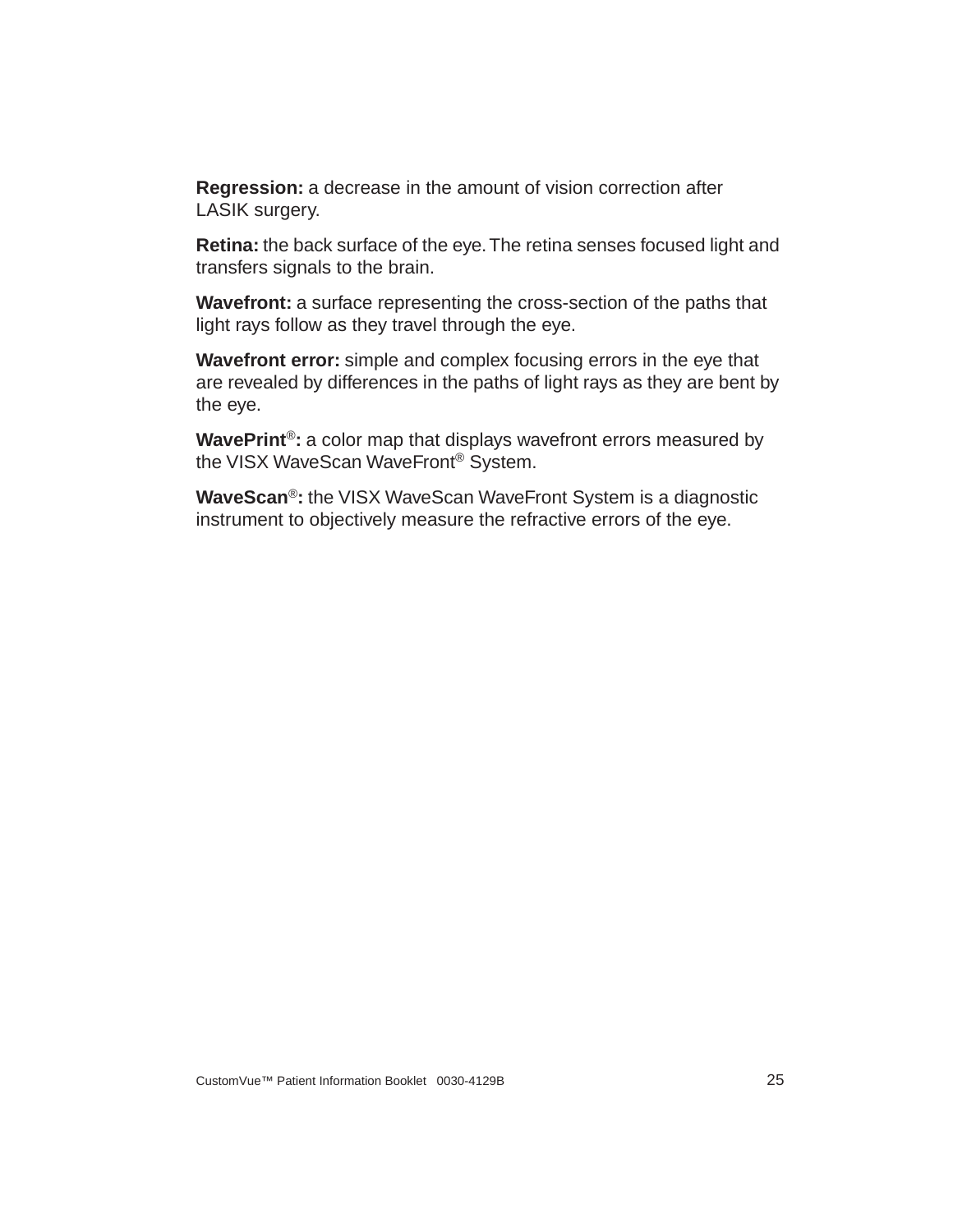**Regression:** a decrease in the amount of vision correction after LASIK surgery.

**Retina:** the back surface of the eye. The retina senses focused light and transfers signals to the brain.

**Wavefront:** a surface representing the cross-section of the paths that light rays follow as they travel through the eye.

**Wavefront error:** simple and complex focusing errors in the eye that are revealed by differences in the paths of light rays as they are bent by the eye.

**WavePrint**®**:** a color map that displays wavefront errors measured by the VISX WaveScan WaveFront® System.

**WaveScan**®**:** the VISX WaveScan WaveFront System is a diagnostic instrument to objectively measure the refractive errors of the eye.